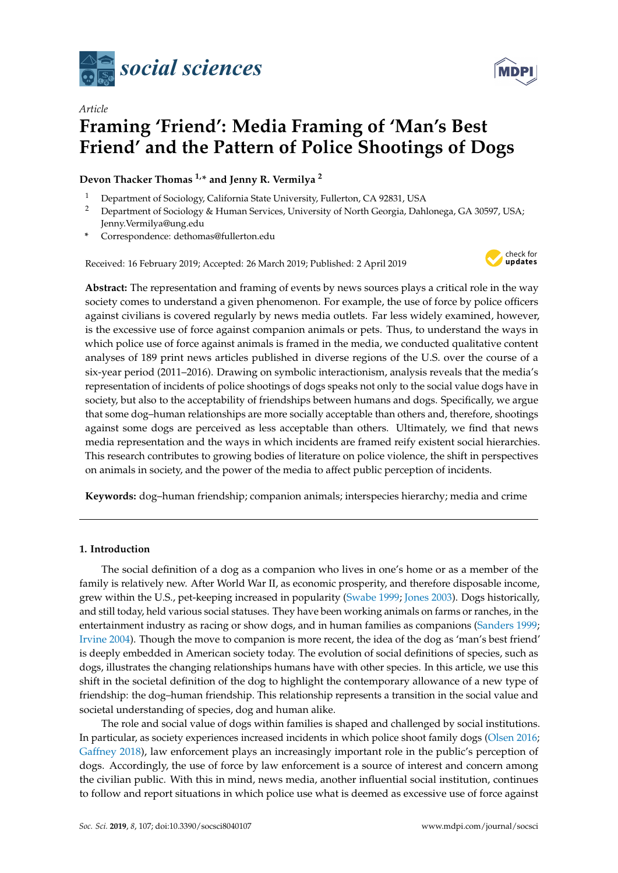

# *Article* **Framing 'Friend': Media Framing of 'Man's Best Friend' and the Pattern of Police Shootings of Dogs**

# **Devon Thacker Thomas 1,\* and Jenny R. Vermilya <sup>2</sup>**

- <sup>1</sup> Department of Sociology, California State University, Fullerton, CA 92831, USA
- <sup>2</sup> Department of Sociology & Human Services, University of North Georgia, Dahlonega, GA 30597, USA; Jenny.Vermilya@ung.edu
- **\*** Correspondence: dethomas@fullerton.edu

Received: 16 February 2019; Accepted: 26 March 2019; Published: 2 April 2019



**Abstract:** The representation and framing of events by news sources plays a critical role in the way society comes to understand a given phenomenon. For example, the use of force by police officers against civilians is covered regularly by news media outlets. Far less widely examined, however, is the excessive use of force against companion animals or pets. Thus, to understand the ways in which police use of force against animals is framed in the media, we conducted qualitative content analyses of 189 print news articles published in diverse regions of the U.S. over the course of a six-year period (2011–2016). Drawing on symbolic interactionism, analysis reveals that the media's representation of incidents of police shootings of dogs speaks not only to the social value dogs have in society, but also to the acceptability of friendships between humans and dogs. Specifically, we argue that some dog–human relationships are more socially acceptable than others and, therefore, shootings against some dogs are perceived as less acceptable than others. Ultimately, we find that news media representation and the ways in which incidents are framed reify existent social hierarchies. This research contributes to growing bodies of literature on police violence, the shift in perspectives on animals in society, and the power of the media to affect public perception of incidents.

**Keywords:** dog–human friendship; companion animals; interspecies hierarchy; media and crime

# **1. Introduction**

The social definition of a dog as a companion who lives in one's home or as a member of the family is relatively new. After World War II, as economic prosperity, and therefore disposable income, grew within the U.S., pet-keeping increased in popularity [\(Swabe](#page-23-0) [1999;](#page-23-0) [Jones](#page-22-0) [2003\)](#page-22-0). Dogs historically, and still today, held various social statuses. They have been working animals on farms or ranches, in the entertainment industry as racing or show dogs, and in human families as companions [\(Sanders](#page-23-1) [1999;](#page-23-1) [Irvine](#page-22-1) [2004\)](#page-22-1). Though the move to companion is more recent, the idea of the dog as 'man's best friend' is deeply embedded in American society today. The evolution of social definitions of species, such as dogs, illustrates the changing relationships humans have with other species. In this article, we use this shift in the societal definition of the dog to highlight the contemporary allowance of a new type of friendship: the dog–human friendship. This relationship represents a transition in the social value and societal understanding of species, dog and human alike.

The role and social value of dogs within families is shaped and challenged by social institutions. In particular, as society experiences increased incidents in which police shoot family dogs [\(Olsen](#page-23-2) [2016;](#page-23-2) [Gaffney](#page-22-2) [2018\)](#page-22-2), law enforcement plays an increasingly important role in the public's perception of dogs. Accordingly, the use of force by law enforcement is a source of interest and concern among the civilian public. With this in mind, news media, another influential social institution, continues to follow and report situations in which police use what is deemed as excessive use of force against

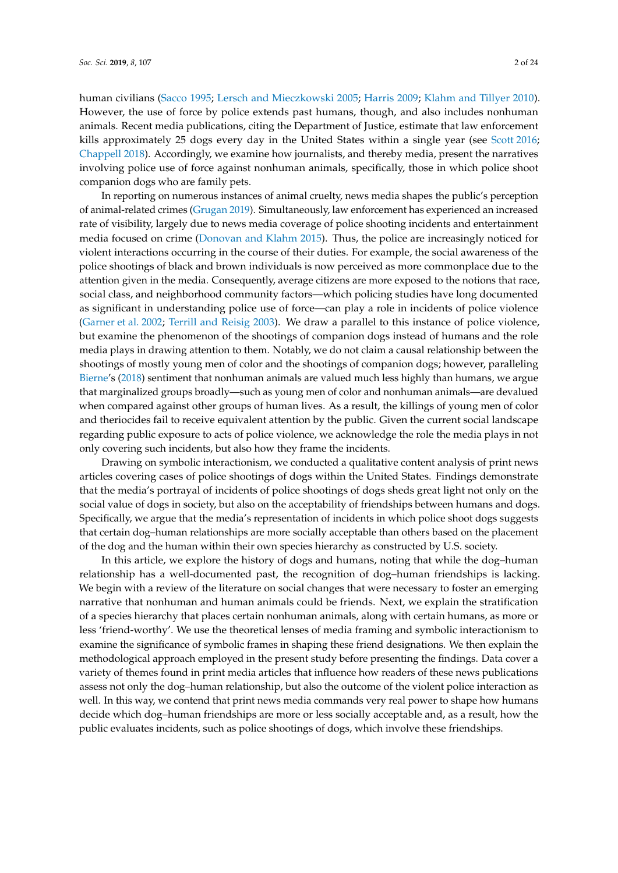human civilians [\(Sacco](#page-23-3) [1995;](#page-23-3) [Lersch and Mieczkowski](#page-22-3) [2005;](#page-22-3) [Harris](#page-22-4) [2009;](#page-22-4) [Klahm and Tillyer](#page-22-5) [2010\)](#page-22-5). However, the use of force by police extends past humans, though, and also includes nonhuman animals. Recent media publications, citing the Department of Justice, estimate that law enforcement kills approximately 25 dogs every day in the United States within a single year (see [Scott](#page-23-4) [2016;](#page-23-4) [Chappell](#page-21-0) [2018\)](#page-21-0). Accordingly, we examine how journalists, and thereby media, present the narratives involving police use of force against nonhuman animals, specifically, those in which police shoot companion dogs who are family pets.

In reporting on numerous instances of animal cruelty, news media shapes the public's perception of animal-related crimes [\(Grugan](#page-22-6) [2019\)](#page-22-6). Simultaneously, law enforcement has experienced an increased rate of visibility, largely due to news media coverage of police shooting incidents and entertainment media focused on crime [\(Donovan and Klahm](#page-22-7) [2015\)](#page-22-7). Thus, the police are increasingly noticed for violent interactions occurring in the course of their duties. For example, the social awareness of the police shootings of black and brown individuals is now perceived as more commonplace due to the attention given in the media. Consequently, average citizens are more exposed to the notions that race, social class, and neighborhood community factors—which policing studies have long documented as significant in understanding police use of force—can play a role in incidents of police violence [\(Garner et al.](#page-22-8) [2002;](#page-22-8) [Terrill and Reisig](#page-23-5) [2003\)](#page-23-5). We draw a parallel to this instance of police violence, but examine the phenomenon of the shootings of companion dogs instead of humans and the role media plays in drawing attention to them. Notably, we do not claim a causal relationship between the shootings of mostly young men of color and the shootings of companion dogs; however, paralleling [Bierne'](#page-21-1)s [\(2018\)](#page-21-1) sentiment that nonhuman animals are valued much less highly than humans, we argue that marginalized groups broadly—such as young men of color and nonhuman animals—are devalued when compared against other groups of human lives. As a result, the killings of young men of color and theriocides fail to receive equivalent attention by the public. Given the current social landscape regarding public exposure to acts of police violence, we acknowledge the role the media plays in not only covering such incidents, but also how they frame the incidents.

Drawing on symbolic interactionism, we conducted a qualitative content analysis of print news articles covering cases of police shootings of dogs within the United States. Findings demonstrate that the media's portrayal of incidents of police shootings of dogs sheds great light not only on the social value of dogs in society, but also on the acceptability of friendships between humans and dogs. Specifically, we argue that the media's representation of incidents in which police shoot dogs suggests that certain dog–human relationships are more socially acceptable than others based on the placement of the dog and the human within their own species hierarchy as constructed by U.S. society.

In this article, we explore the history of dogs and humans, noting that while the dog–human relationship has a well-documented past, the recognition of dog–human friendships is lacking. We begin with a review of the literature on social changes that were necessary to foster an emerging narrative that nonhuman and human animals could be friends. Next, we explain the stratification of a species hierarchy that places certain nonhuman animals, along with certain humans, as more or less 'friend-worthy'. We use the theoretical lenses of media framing and symbolic interactionism to examine the significance of symbolic frames in shaping these friend designations. We then explain the methodological approach employed in the present study before presenting the findings. Data cover a variety of themes found in print media articles that influence how readers of these news publications assess not only the dog–human relationship, but also the outcome of the violent police interaction as well. In this way, we contend that print news media commands very real power to shape how humans decide which dog–human friendships are more or less socially acceptable and, as a result, how the public evaluates incidents, such as police shootings of dogs, which involve these friendships.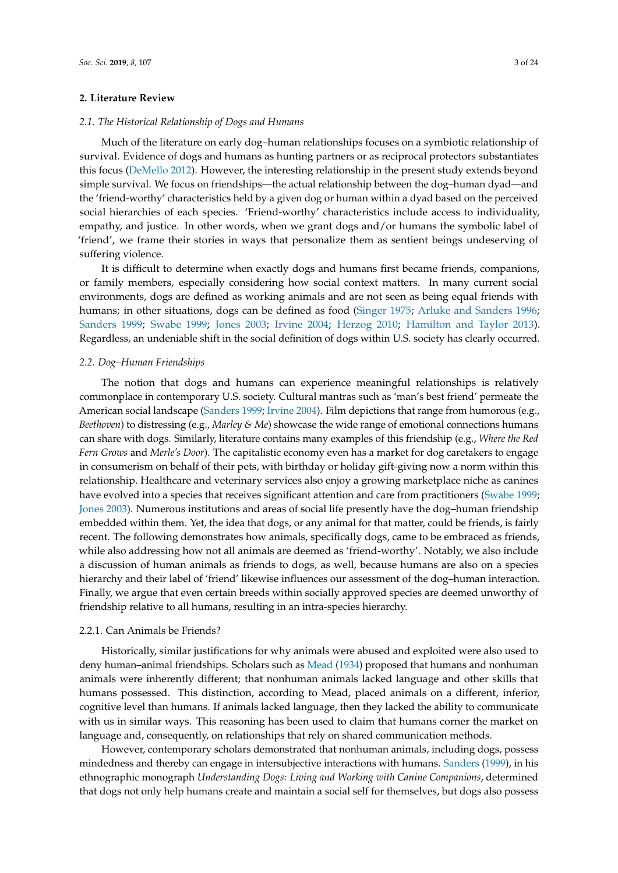#### **2. Literature Review**

#### *2.1. The Historical Relationship of Dogs and Humans*

Much of the literature on early dog–human relationships focuses on a symbiotic relationship of survival. Evidence of dogs and humans as hunting partners or as reciprocal protectors substantiates this focus [\(DeMello](#page-22-9) [2012\)](#page-22-9). However, the interesting relationship in the present study extends beyond simple survival. We focus on friendships—the actual relationship between the dog–human dyad—and the 'friend-worthy' characteristics held by a given dog or human within a dyad based on the perceived social hierarchies of each species. 'Friend-worthy' characteristics include access to individuality, empathy, and justice. In other words, when we grant dogs and/or humans the symbolic label of 'friend', we frame their stories in ways that personalize them as sentient beings undeserving of suffering violence.

It is difficult to determine when exactly dogs and humans first became friends, companions, or family members, especially considering how social context matters. In many current social environments, dogs are defined as working animals and are not seen as being equal friends with humans; in other situations, dogs can be defined as food [\(Singer](#page-23-6) [1975;](#page-23-6) [Arluke and Sanders](#page-21-2) [1996;](#page-21-2) [Sanders](#page-23-1) [1999;](#page-23-1) [Swabe](#page-23-0) [1999;](#page-23-0) [Jones](#page-22-0) [2003;](#page-22-0) [Irvine](#page-22-1) [2004;](#page-22-1) [Herzog](#page-22-10) [2010;](#page-22-10) [Hamilton and Taylor](#page-22-11) [2013\)](#page-22-11). Regardless, an undeniable shift in the social definition of dogs within U.S. society has clearly occurred.

#### *2.2. Dog–Human Friendships*

The notion that dogs and humans can experience meaningful relationships is relatively commonplace in contemporary U.S. society. Cultural mantras such as 'man's best friend' permeate the American social landscape [\(Sanders](#page-23-1) [1999;](#page-23-1) [Irvine](#page-22-1) [2004\)](#page-22-1). Film depictions that range from humorous (e.g., *Beethoven*) to distressing (e.g., *Marley & Me*) showcase the wide range of emotional connections humans can share with dogs. Similarly, literature contains many examples of this friendship (e.g., *Where the Red Fern Grows* and *Merle's Door*). The capitalistic economy even has a market for dog caretakers to engage in consumerism on behalf of their pets, with birthday or holiday gift-giving now a norm within this relationship. Healthcare and veterinary services also enjoy a growing marketplace niche as canines have evolved into a species that receives significant attention and care from practitioners [\(Swabe](#page-23-0) [1999;](#page-23-0) [Jones](#page-22-0) [2003\)](#page-22-0). Numerous institutions and areas of social life presently have the dog–human friendship embedded within them. Yet, the idea that dogs, or any animal for that matter, could be friends, is fairly recent. The following demonstrates how animals, specifically dogs, came to be embraced as friends, while also addressing how not all animals are deemed as 'friend-worthy'. Notably, we also include a discussion of human animals as friends to dogs, as well, because humans are also on a species hierarchy and their label of 'friend' likewise influences our assessment of the dog–human interaction. Finally, we argue that even certain breeds within socially approved species are deemed unworthy of friendship relative to all humans, resulting in an intra-species hierarchy.

#### 2.2.1. Can Animals be Friends?

Historically, similar justifications for why animals were abused and exploited were also used to deny human–animal friendships. Scholars such as [Mead](#page-23-7) [\(1934\)](#page-23-7) proposed that humans and nonhuman animals were inherently different; that nonhuman animals lacked language and other skills that humans possessed. This distinction, according to Mead, placed animals on a different, inferior, cognitive level than humans. If animals lacked language, then they lacked the ability to communicate with us in similar ways. This reasoning has been used to claim that humans corner the market on language and, consequently, on relationships that rely on shared communication methods.

However, contemporary scholars demonstrated that nonhuman animals, including dogs, possess mindedness and thereby can engage in intersubjective interactions with humans. [Sanders](#page-23-1) [\(1999\)](#page-23-1), in his ethnographic monograph *Understanding Dogs: Living and Working with Canine Companions*, determined that dogs not only help humans create and maintain a social self for themselves, but dogs also possess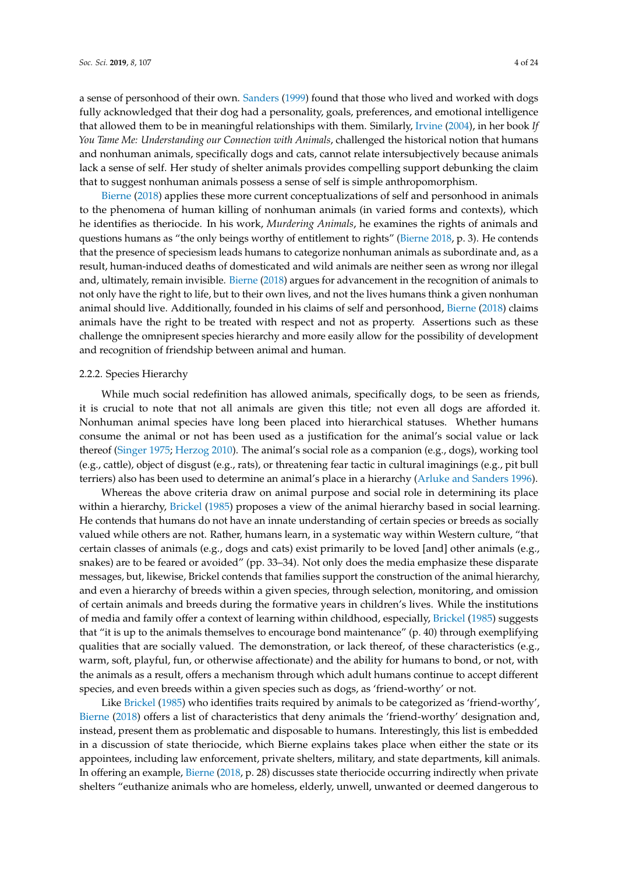a sense of personhood of their own. [Sanders](#page-23-1) [\(1999\)](#page-23-1) found that those who lived and worked with dogs fully acknowledged that their dog had a personality, goals, preferences, and emotional intelligence that allowed them to be in meaningful relationships with them. Similarly, [Irvine](#page-22-1) [\(2004\)](#page-22-1), in her book *If You Tame Me: Understanding our Connection with Animals*, challenged the historical notion that humans and nonhuman animals, specifically dogs and cats, cannot relate intersubjectively because animals lack a sense of self. Her study of shelter animals provides compelling support debunking the claim that to suggest nonhuman animals possess a sense of self is simple anthropomorphism.

[Bierne](#page-21-1) [\(2018\)](#page-21-1) applies these more current conceptualizations of self and personhood in animals to the phenomena of human killing of nonhuman animals (in varied forms and contexts), which he identifies as theriocide. In his work, *Murdering Animals*, he examines the rights of animals and questions humans as "the only beings worthy of entitlement to rights" [\(Bierne](#page-21-1) [2018,](#page-21-1) p. 3). He contends that the presence of speciesism leads humans to categorize nonhuman animals as subordinate and, as a result, human-induced deaths of domesticated and wild animals are neither seen as wrong nor illegal and, ultimately, remain invisible. [Bierne](#page-21-1) [\(2018\)](#page-21-1) argues for advancement in the recognition of animals to not only have the right to life, but to their own lives, and not the lives humans think a given nonhuman animal should live. Additionally, founded in his claims of self and personhood, [Bierne](#page-21-1) [\(2018\)](#page-21-1) claims animals have the right to be treated with respect and not as property. Assertions such as these challenge the omnipresent species hierarchy and more easily allow for the possibility of development and recognition of friendship between animal and human.

#### 2.2.2. Species Hierarchy

While much social redefinition has allowed animals, specifically dogs, to be seen as friends, it is crucial to note that not all animals are given this title; not even all dogs are afforded it. Nonhuman animal species have long been placed into hierarchical statuses. Whether humans consume the animal or not has been used as a justification for the animal's social value or lack thereof [\(Singer](#page-23-6) [1975;](#page-23-6) [Herzog](#page-22-10) [2010\)](#page-22-10). The animal's social role as a companion (e.g., dogs), working tool (e.g., cattle), object of disgust (e.g., rats), or threatening fear tactic in cultural imaginings (e.g., pit bull terriers) also has been used to determine an animal's place in a hierarchy [\(Arluke and Sanders](#page-21-2) [1996\)](#page-21-2).

Whereas the above criteria draw on animal purpose and social role in determining its place within a hierarchy, [Brickel](#page-21-3) [\(1985\)](#page-21-3) proposes a view of the animal hierarchy based in social learning. He contends that humans do not have an innate understanding of certain species or breeds as socially valued while others are not. Rather, humans learn, in a systematic way within Western culture, "that certain classes of animals (e.g., dogs and cats) exist primarily to be loved [and] other animals (e.g., snakes) are to be feared or avoided" (pp. 33–34). Not only does the media emphasize these disparate messages, but, likewise, Brickel contends that families support the construction of the animal hierarchy, and even a hierarchy of breeds within a given species, through selection, monitoring, and omission of certain animals and breeds during the formative years in children's lives. While the institutions of media and family offer a context of learning within childhood, especially, [Brickel](#page-21-3) [\(1985\)](#page-21-3) suggests that "it is up to the animals themselves to encourage bond maintenance" (p. 40) through exemplifying qualities that are socially valued. The demonstration, or lack thereof, of these characteristics (e.g., warm, soft, playful, fun, or otherwise affectionate) and the ability for humans to bond, or not, with the animals as a result, offers a mechanism through which adult humans continue to accept different species, and even breeds within a given species such as dogs, as 'friend-worthy' or not.

Like [Brickel](#page-21-3) [\(1985\)](#page-21-3) who identifies traits required by animals to be categorized as 'friend-worthy', [Bierne](#page-21-1) [\(2018\)](#page-21-1) offers a list of characteristics that deny animals the 'friend-worthy' designation and, instead, present them as problematic and disposable to humans. Interestingly, this list is embedded in a discussion of state theriocide, which Bierne explains takes place when either the state or its appointees, including law enforcement, private shelters, military, and state departments, kill animals. In offering an example, [Bierne](#page-21-1) [\(2018,](#page-21-1) p. 28) discusses state theriocide occurring indirectly when private shelters "euthanize animals who are homeless, elderly, unwell, unwanted or deemed dangerous to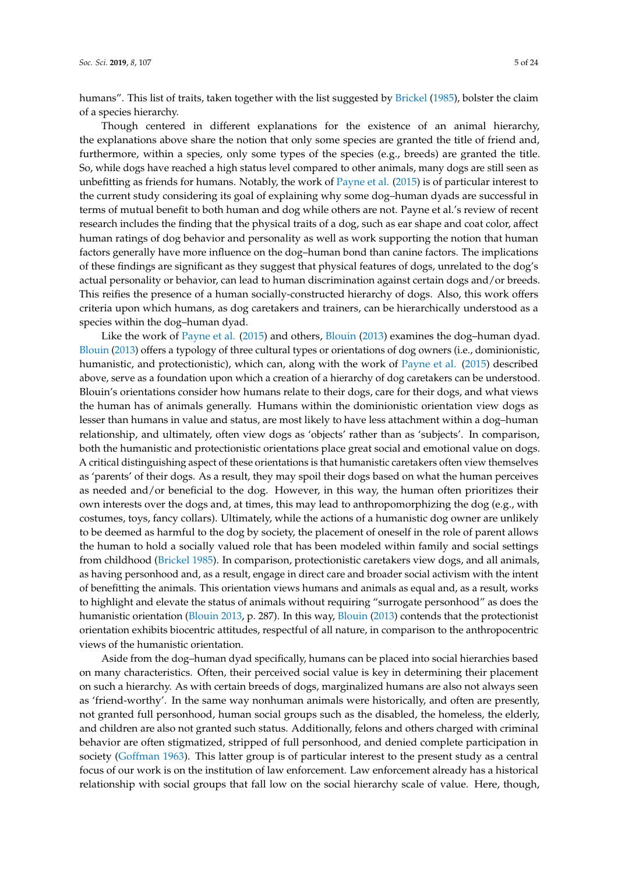humans". This list of traits, taken together with the list suggested by [Brickel](#page-21-3) [\(1985\)](#page-21-3), bolster the claim of a species hierarchy.

Though centered in different explanations for the existence of an animal hierarchy, the explanations above share the notion that only some species are granted the title of friend and, furthermore, within a species, only some types of the species (e.g., breeds) are granted the title. So, while dogs have reached a high status level compared to other animals, many dogs are still seen as unbefitting as friends for humans. Notably, the work of [Payne et al.](#page-23-8) [\(2015\)](#page-23-8) is of particular interest to the current study considering its goal of explaining why some dog–human dyads are successful in terms of mutual benefit to both human and dog while others are not. Payne et al.'s review of recent research includes the finding that the physical traits of a dog, such as ear shape and coat color, affect human ratings of dog behavior and personality as well as work supporting the notion that human factors generally have more influence on the dog–human bond than canine factors. The implications of these findings are significant as they suggest that physical features of dogs, unrelated to the dog's actual personality or behavior, can lead to human discrimination against certain dogs and/or breeds. This reifies the presence of a human socially-constructed hierarchy of dogs. Also, this work offers criteria upon which humans, as dog caretakers and trainers, can be hierarchically understood as a species within the dog–human dyad.

Like the work of [Payne et al.](#page-23-8) [\(2015\)](#page-23-8) and others, [Blouin](#page-21-4) [\(2013\)](#page-21-4) examines the dog–human dyad. [Blouin](#page-21-4) [\(2013\)](#page-21-4) offers a typology of three cultural types or orientations of dog owners (i.e., dominionistic, humanistic, and protectionistic), which can, along with the work of [Payne et al.](#page-23-8) [\(2015\)](#page-23-8) described above, serve as a foundation upon which a creation of a hierarchy of dog caretakers can be understood. Blouin's orientations consider how humans relate to their dogs, care for their dogs, and what views the human has of animals generally. Humans within the dominionistic orientation view dogs as lesser than humans in value and status, are most likely to have less attachment within a dog–human relationship, and ultimately, often view dogs as 'objects' rather than as 'subjects'. In comparison, both the humanistic and protectionistic orientations place great social and emotional value on dogs. A critical distinguishing aspect of these orientations is that humanistic caretakers often view themselves as 'parents' of their dogs. As a result, they may spoil their dogs based on what the human perceives as needed and/or beneficial to the dog. However, in this way, the human often prioritizes their own interests over the dogs and, at times, this may lead to anthropomorphizing the dog (e.g., with costumes, toys, fancy collars). Ultimately, while the actions of a humanistic dog owner are unlikely to be deemed as harmful to the dog by society, the placement of oneself in the role of parent allows the human to hold a socially valued role that has been modeled within family and social settings from childhood [\(Brickel](#page-21-3) [1985\)](#page-21-3). In comparison, protectionistic caretakers view dogs, and all animals, as having personhood and, as a result, engage in direct care and broader social activism with the intent of benefitting the animals. This orientation views humans and animals as equal and, as a result, works to highlight and elevate the status of animals without requiring "surrogate personhood" as does the humanistic orientation [\(Blouin](#page-21-4) [2013,](#page-21-4) p. 287). In this way, [Blouin](#page-21-4) [\(2013\)](#page-21-4) contends that the protectionist orientation exhibits biocentric attitudes, respectful of all nature, in comparison to the anthropocentric views of the humanistic orientation.

Aside from the dog–human dyad specifically, humans can be placed into social hierarchies based on many characteristics. Often, their perceived social value is key in determining their placement on such a hierarchy. As with certain breeds of dogs, marginalized humans are also not always seen as 'friend-worthy'. In the same way nonhuman animals were historically, and often are presently, not granted full personhood, human social groups such as the disabled, the homeless, the elderly, and children are also not granted such status. Additionally, felons and others charged with criminal behavior are often stigmatized, stripped of full personhood, and denied complete participation in society [\(Goffman](#page-22-12) [1963\)](#page-22-12). This latter group is of particular interest to the present study as a central focus of our work is on the institution of law enforcement. Law enforcement already has a historical relationship with social groups that fall low on the social hierarchy scale of value. Here, though,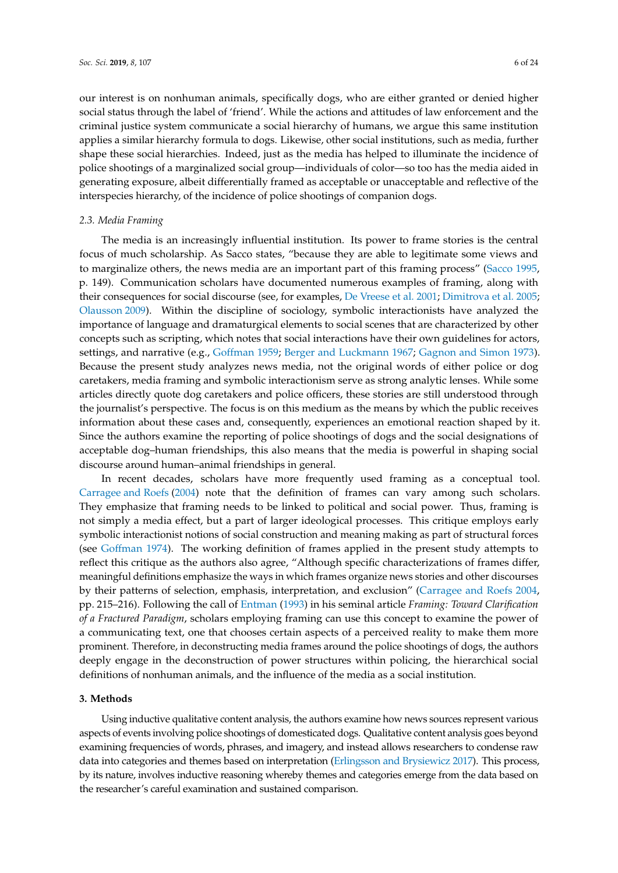our interest is on nonhuman animals, specifically dogs, who are either granted or denied higher social status through the label of 'friend'. While the actions and attitudes of law enforcement and the criminal justice system communicate a social hierarchy of humans, we argue this same institution applies a similar hierarchy formula to dogs. Likewise, other social institutions, such as media, further shape these social hierarchies. Indeed, just as the media has helped to illuminate the incidence of police shootings of a marginalized social group—individuals of color—so too has the media aided in generating exposure, albeit differentially framed as acceptable or unacceptable and reflective of the interspecies hierarchy, of the incidence of police shootings of companion dogs.

## *2.3. Media Framing*

The media is an increasingly influential institution. Its power to frame stories is the central focus of much scholarship. As Sacco states, "because they are able to legitimate some views and to marginalize others, the news media are an important part of this framing process" [\(Sacco](#page-23-3) [1995,](#page-23-3) p. 149). Communication scholars have documented numerous examples of framing, along with their consequences for social discourse (see, for examples, [De Vreese et al.](#page-22-13) [2001;](#page-22-13) [Dimitrova et al.](#page-22-14) [2005;](#page-22-14) [Olausson](#page-23-9) [2009\)](#page-23-9). Within the discipline of sociology, symbolic interactionists have analyzed the importance of language and dramaturgical elements to social scenes that are characterized by other concepts such as scripting, which notes that social interactions have their own guidelines for actors, settings, and narrative (e.g., [Goffman](#page-22-15) [1959;](#page-22-15) [Berger and Luckmann](#page-21-5) [1967;](#page-21-5) [Gagnon and Simon](#page-22-16) [1973\)](#page-22-16). Because the present study analyzes news media, not the original words of either police or dog caretakers, media framing and symbolic interactionism serve as strong analytic lenses. While some articles directly quote dog caretakers and police officers, these stories are still understood through the journalist's perspective. The focus is on this medium as the means by which the public receives information about these cases and, consequently, experiences an emotional reaction shaped by it. Since the authors examine the reporting of police shootings of dogs and the social designations of acceptable dog–human friendships, this also means that the media is powerful in shaping social discourse around human–animal friendships in general.

In recent decades, scholars have more frequently used framing as a conceptual tool. [Carragee and Roefs](#page-21-6) [\(2004\)](#page-21-6) note that the definition of frames can vary among such scholars. They emphasize that framing needs to be linked to political and social power. Thus, framing is not simply a media effect, but a part of larger ideological processes. This critique employs early symbolic interactionist notions of social construction and meaning making as part of structural forces (see [Goffman](#page-22-17) [1974\)](#page-22-17). The working definition of frames applied in the present study attempts to reflect this critique as the authors also agree, "Although specific characterizations of frames differ, meaningful definitions emphasize the ways in which frames organize news stories and other discourses by their patterns of selection, emphasis, interpretation, and exclusion" [\(Carragee and Roefs](#page-21-6) [2004,](#page-21-6) pp. 215–216). Following the call of [Entman](#page-22-18) [\(1993\)](#page-22-18) in his seminal article *Framing: Toward Clarification of a Fractured Paradigm*, scholars employing framing can use this concept to examine the power of a communicating text, one that chooses certain aspects of a perceived reality to make them more prominent. Therefore, in deconstructing media frames around the police shootings of dogs, the authors deeply engage in the deconstruction of power structures within policing, the hierarchical social definitions of nonhuman animals, and the influence of the media as a social institution.

#### **3. Methods**

Using inductive qualitative content analysis, the authors examine how news sources represent various aspects of events involving police shootings of domesticated dogs. Qualitative content analysis goes beyond examining frequencies of words, phrases, and imagery, and instead allows researchers to condense raw data into categories and themes based on interpretation [\(Erlingsson and Brysiewicz](#page-22-19) [2017\)](#page-22-19). This process, by its nature, involves inductive reasoning whereby themes and categories emerge from the data based on the researcher's careful examination and sustained comparison.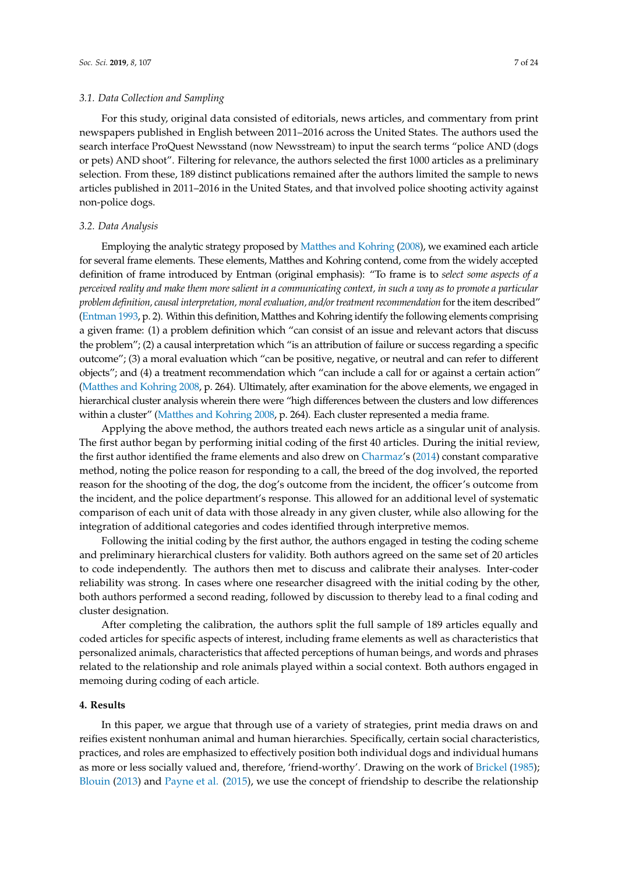#### *3.1. Data Collection and Sampling*

For this study, original data consisted of editorials, news articles, and commentary from print newspapers published in English between 2011–2016 across the United States. The authors used the search interface ProQuest Newsstand (now Newsstream) to input the search terms "police AND (dogs or pets) AND shoot". Filtering for relevance, the authors selected the first 1000 articles as a preliminary selection. From these, 189 distinct publications remained after the authors limited the sample to news articles published in 2011–2016 in the United States, and that involved police shooting activity against non-police dogs.

#### *3.2. Data Analysis*

Employing the analytic strategy proposed by [Matthes and Kohring](#page-23-10) [\(2008\)](#page-23-10), we examined each article for several frame elements. These elements, Matthes and Kohring contend, come from the widely accepted definition of frame introduced by Entman (original emphasis): "To frame is to *select some aspects of a perceived reality and make them more salient in a communicating context, in such a way as to promote a particular problem definition, causal interpretation, moral evaluation, and/or treatment recommendation* for the item described" [\(Entman](#page-22-18) [1993,](#page-22-18) p. 2). Within this definition, Matthes and Kohring identify the following elements comprising a given frame: (1) a problem definition which "can consist of an issue and relevant actors that discuss the problem"; (2) a causal interpretation which "is an attribution of failure or success regarding a specific outcome"; (3) a moral evaluation which "can be positive, negative, or neutral and can refer to different objects"; and (4) a treatment recommendation which "can include a call for or against a certain action" [\(Matthes and Kohring](#page-23-10) [2008,](#page-23-10) p. 264). Ultimately, after examination for the above elements, we engaged in hierarchical cluster analysis wherein there were "high differences between the clusters and low differences within a cluster" [\(Matthes and Kohring](#page-23-10) [2008,](#page-23-10) p. 264). Each cluster represented a media frame.

Applying the above method, the authors treated each news article as a singular unit of analysis. The first author began by performing initial coding of the first 40 articles. During the initial review, the first author identified the frame elements and also drew on [Charmaz'](#page-21-7)s [\(2014\)](#page-21-7) constant comparative method, noting the police reason for responding to a call, the breed of the dog involved, the reported reason for the shooting of the dog, the dog's outcome from the incident, the officer's outcome from the incident, and the police department's response. This allowed for an additional level of systematic comparison of each unit of data with those already in any given cluster, while also allowing for the integration of additional categories and codes identified through interpretive memos.

Following the initial coding by the first author, the authors engaged in testing the coding scheme and preliminary hierarchical clusters for validity. Both authors agreed on the same set of 20 articles to code independently. The authors then met to discuss and calibrate their analyses. Inter-coder reliability was strong. In cases where one researcher disagreed with the initial coding by the other, both authors performed a second reading, followed by discussion to thereby lead to a final coding and cluster designation.

After completing the calibration, the authors split the full sample of 189 articles equally and coded articles for specific aspects of interest, including frame elements as well as characteristics that personalized animals, characteristics that affected perceptions of human beings, and words and phrases related to the relationship and role animals played within a social context. Both authors engaged in memoing during coding of each article.

#### **4. Results**

In this paper, we argue that through use of a variety of strategies, print media draws on and reifies existent nonhuman animal and human hierarchies. Specifically, certain social characteristics, practices, and roles are emphasized to effectively position both individual dogs and individual humans as more or less socially valued and, therefore, 'friend-worthy'. Drawing on the work of [Brickel](#page-21-3) [\(1985\)](#page-21-3); [Blouin](#page-21-4) [\(2013\)](#page-21-4) and [Payne et al.](#page-23-8) [\(2015\)](#page-23-8), we use the concept of friendship to describe the relationship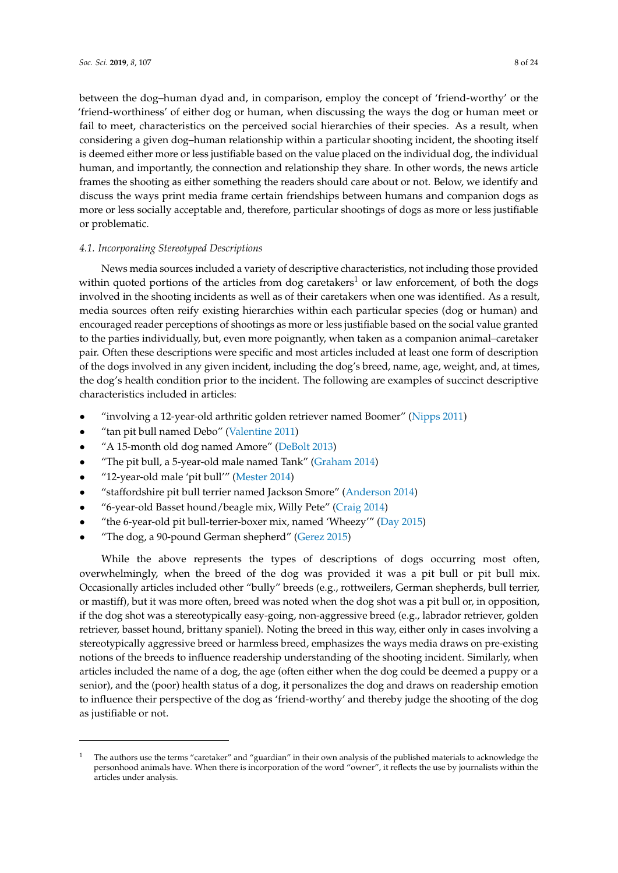between the dog–human dyad and, in comparison, employ the concept of 'friend-worthy' or the 'friend-worthiness' of either dog or human, when discussing the ways the dog or human meet or fail to meet, characteristics on the perceived social hierarchies of their species. As a result, when considering a given dog–human relationship within a particular shooting incident, the shooting itself is deemed either more or less justifiable based on the value placed on the individual dog, the individual human, and importantly, the connection and relationship they share. In other words, the news article frames the shooting as either something the readers should care about or not. Below, we identify and discuss the ways print media frame certain friendships between humans and companion dogs as more or less socially acceptable and, therefore, particular shootings of dogs as more or less justifiable or problematic.

# *4.1. Incorporating Stereotyped Descriptions*

News media sources included a variety of descriptive characteristics, not including those provided within quoted portions of the articles from dog caretakers<sup>1</sup> or law enforcement, of both the dogs involved in the shooting incidents as well as of their caretakers when one was identified. As a result, media sources often reify existing hierarchies within each particular species (dog or human) and encouraged reader perceptions of shootings as more or less justifiable based on the social value granted to the parties individually, but, even more poignantly, when taken as a companion animal–caretaker pair. Often these descriptions were specific and most articles included at least one form of description of the dogs involved in any given incident, including the dog's breed, name, age, weight, and, at times, the dog's health condition prior to the incident. The following are examples of succinct descriptive characteristics included in articles:

- "involving a 12-year-old arthritic golden retriever named Boomer" [\(Nipps](#page-23-11) [2011\)](#page-23-11)
- "tan pit bull named Debo" [\(Valentine](#page-23-12) [2011\)](#page-23-12)
- "A 15-month old dog named Amore" [\(DeBolt](#page-22-20) [2013\)](#page-22-20)
- "The pit bull, a 5-year-old male named Tank" [\(Graham](#page-22-21) [2014\)](#page-22-21)
- "12-year-old male 'pit bull'" [\(Mester](#page-23-13) [2014\)](#page-23-13)
- "staffordshire pit bull terrier named Jackson Smore" [\(Anderson](#page-21-8) [2014\)](#page-21-8)
- "6-year-old Basset hound/beagle mix, Willy Pete" [\(Craig](#page-21-9) [2014\)](#page-21-9)
- "the 6-year-old pit bull-terrier-boxer mix, named 'Wheezy'" [\(Day](#page-22-22) [2015\)](#page-22-22)
- "The dog, a 90-pound German shepherd" [\(Gerez](#page-22-23) [2015\)](#page-22-23)

While the above represents the types of descriptions of dogs occurring most often, overwhelmingly, when the breed of the dog was provided it was a pit bull or pit bull mix. Occasionally articles included other "bully" breeds (e.g., rottweilers, German shepherds, bull terrier, or mastiff), but it was more often, breed was noted when the dog shot was a pit bull or, in opposition, if the dog shot was a stereotypically easy-going, non-aggressive breed (e.g., labrador retriever, golden retriever, basset hound, brittany spaniel). Noting the breed in this way, either only in cases involving a stereotypically aggressive breed or harmless breed, emphasizes the ways media draws on pre-existing notions of the breeds to influence readership understanding of the shooting incident. Similarly, when articles included the name of a dog, the age (often either when the dog could be deemed a puppy or a senior), and the (poor) health status of a dog, it personalizes the dog and draws on readership emotion to influence their perspective of the dog as 'friend-worthy' and thereby judge the shooting of the dog as justifiable or not.

<sup>1</sup> The authors use the terms "caretaker" and "guardian" in their own analysis of the published materials to acknowledge the personhood animals have. When there is incorporation of the word "owner", it reflects the use by journalists within the articles under analysis.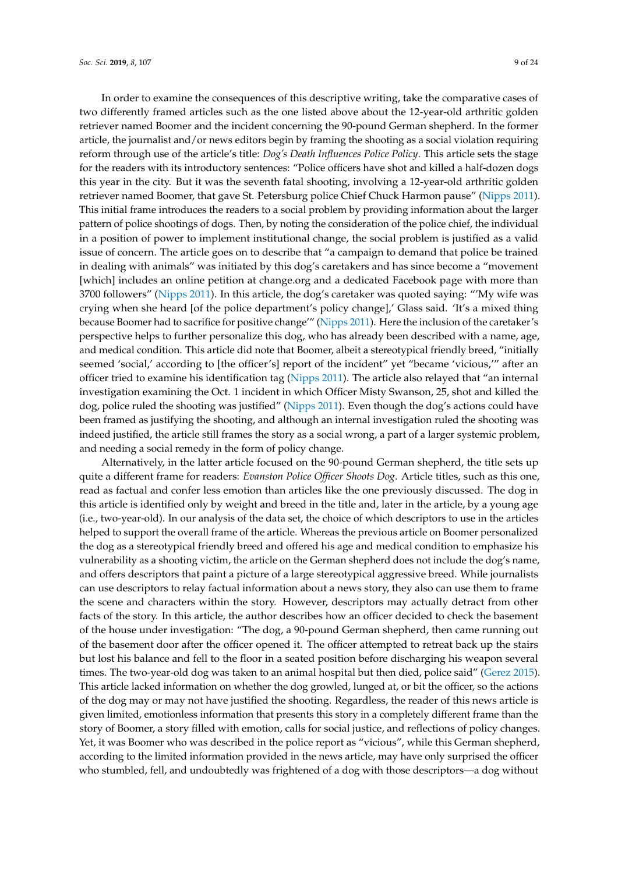In order to examine the consequences of this descriptive writing, take the comparative cases of two differently framed articles such as the one listed above about the 12-year-old arthritic golden retriever named Boomer and the incident concerning the 90-pound German shepherd. In the former article, the journalist and/or news editors begin by framing the shooting as a social violation requiring reform through use of the article's title: *Dog's Death Influences Police Policy*. This article sets the stage for the readers with its introductory sentences: "Police officers have shot and killed a half-dozen dogs this year in the city. But it was the seventh fatal shooting, involving a 12-year-old arthritic golden retriever named Boomer, that gave St. Petersburg police Chief Chuck Harmon pause" [\(Nipps](#page-23-11) [2011\)](#page-23-11). This initial frame introduces the readers to a social problem by providing information about the larger pattern of police shootings of dogs. Then, by noting the consideration of the police chief, the individual in a position of power to implement institutional change, the social problem is justified as a valid issue of concern. The article goes on to describe that "a campaign to demand that police be trained in dealing with animals" was initiated by this dog's caretakers and has since become a "movement [which] includes an online petition at change.org and a dedicated Facebook page with more than 3700 followers" [\(Nipps](#page-23-11) [2011\)](#page-23-11). In this article, the dog's caretaker was quoted saying: "'My wife was crying when she heard [of the police department's policy change],' Glass said. 'It's a mixed thing because Boomer had to sacrifice for positive change'" [\(Nipps](#page-23-11) [2011\)](#page-23-11). Here the inclusion of the caretaker's perspective helps to further personalize this dog, who has already been described with a name, age, and medical condition. This article did note that Boomer, albeit a stereotypical friendly breed, "initially seemed 'social,' according to [the officer's] report of the incident" yet "became 'vicious,'" after an officer tried to examine his identification tag [\(Nipps](#page-23-11) [2011\)](#page-23-11). The article also relayed that "an internal investigation examining the Oct. 1 incident in which Officer Misty Swanson, 25, shot and killed the dog, police ruled the shooting was justified" [\(Nipps](#page-23-11) [2011\)](#page-23-11). Even though the dog's actions could have been framed as justifying the shooting, and although an internal investigation ruled the shooting was indeed justified, the article still frames the story as a social wrong, a part of a larger systemic problem, and needing a social remedy in the form of policy change.

Alternatively, in the latter article focused on the 90-pound German shepherd, the title sets up quite a different frame for readers: *Evanston Police Officer Shoots Dog*. Article titles, such as this one, read as factual and confer less emotion than articles like the one previously discussed. The dog in this article is identified only by weight and breed in the title and, later in the article, by a young age (i.e., two-year-old). In our analysis of the data set, the choice of which descriptors to use in the articles helped to support the overall frame of the article. Whereas the previous article on Boomer personalized the dog as a stereotypical friendly breed and offered his age and medical condition to emphasize his vulnerability as a shooting victim, the article on the German shepherd does not include the dog's name, and offers descriptors that paint a picture of a large stereotypical aggressive breed. While journalists can use descriptors to relay factual information about a news story, they also can use them to frame the scene and characters within the story. However, descriptors may actually detract from other facts of the story. In this article, the author describes how an officer decided to check the basement of the house under investigation: "The dog, a 90-pound German shepherd, then came running out of the basement door after the officer opened it. The officer attempted to retreat back up the stairs but lost his balance and fell to the floor in a seated position before discharging his weapon several times. The two-year-old dog was taken to an animal hospital but then died, police said" [\(Gerez](#page-22-23) [2015\)](#page-22-23). This article lacked information on whether the dog growled, lunged at, or bit the officer, so the actions of the dog may or may not have justified the shooting. Regardless, the reader of this news article is given limited, emotionless information that presents this story in a completely different frame than the story of Boomer, a story filled with emotion, calls for social justice, and reflections of policy changes. Yet, it was Boomer who was described in the police report as "vicious", while this German shepherd, according to the limited information provided in the news article, may have only surprised the officer who stumbled, fell, and undoubtedly was frightened of a dog with those descriptors—a dog without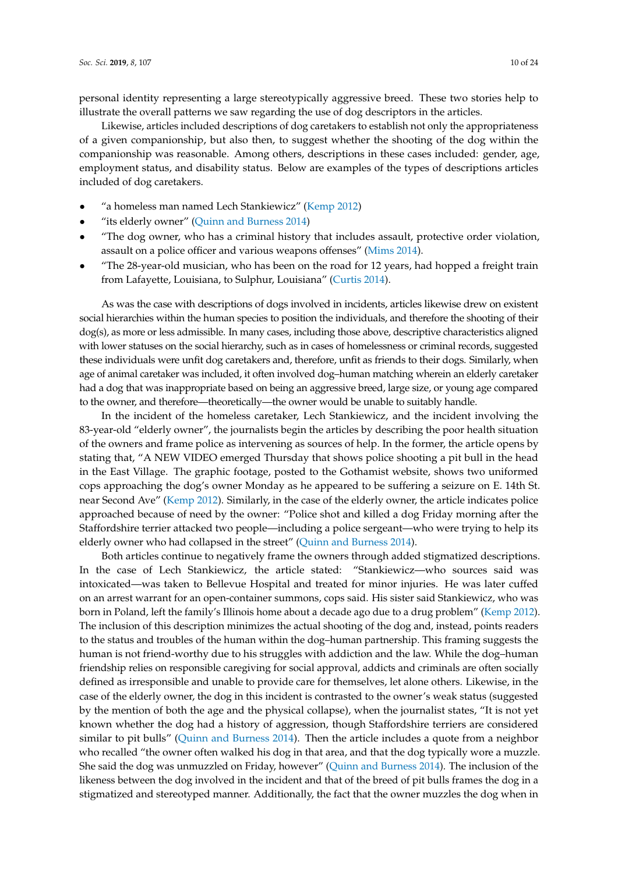personal identity representing a large stereotypically aggressive breed. These two stories help to illustrate the overall patterns we saw regarding the use of dog descriptors in the articles.

Likewise, articles included descriptions of dog caretakers to establish not only the appropriateness of a given companionship, but also then, to suggest whether the shooting of the dog within the companionship was reasonable. Among others, descriptions in these cases included: gender, age, employment status, and disability status. Below are examples of the types of descriptions articles included of dog caretakers.

- "a homeless man named Lech Stankiewicz" [\(Kemp](#page-22-24) [2012\)](#page-22-24)
- "its elderly owner" [\(Quinn and Burness](#page-23-14) [2014\)](#page-23-14)
- "The dog owner, who has a criminal history that includes assault, protective order violation, assault on a police officer and various weapons offenses" [\(Mims](#page-23-15) [2014\)](#page-23-15).
- "The 28-year-old musician, who has been on the road for 12 years, had hopped a freight train from Lafayette, Louisiana, to Sulphur, Louisiana" [\(Curtis](#page-21-10) [2014\)](#page-21-10).

As was the case with descriptions of dogs involved in incidents, articles likewise drew on existent social hierarchies within the human species to position the individuals, and therefore the shooting of their dog(s), as more or less admissible. In many cases, including those above, descriptive characteristics aligned with lower statuses on the social hierarchy, such as in cases of homelessness or criminal records, suggested these individuals were unfit dog caretakers and, therefore, unfit as friends to their dogs. Similarly, when age of animal caretaker was included, it often involved dog–human matching wherein an elderly caretaker had a dog that was inappropriate based on being an aggressive breed, large size, or young age compared to the owner, and therefore—theoretically—the owner would be unable to suitably handle.

In the incident of the homeless caretaker, Lech Stankiewicz, and the incident involving the 83-year-old "elderly owner", the journalists begin the articles by describing the poor health situation of the owners and frame police as intervening as sources of help. In the former, the article opens by stating that, "A NEW VIDEO emerged Thursday that shows police shooting a pit bull in the head in the East Village. The graphic footage, posted to the Gothamist website, shows two uniformed cops approaching the dog's owner Monday as he appeared to be suffering a seizure on E. 14th St. near Second Ave" [\(Kemp](#page-22-24) [2012\)](#page-22-24). Similarly, in the case of the elderly owner, the article indicates police approached because of need by the owner: "Police shot and killed a dog Friday morning after the Staffordshire terrier attacked two people—including a police sergeant—who were trying to help its elderly owner who had collapsed in the street" [\(Quinn and Burness](#page-23-14) [2014\)](#page-23-14).

Both articles continue to negatively frame the owners through added stigmatized descriptions. In the case of Lech Stankiewicz, the article stated: "Stankiewicz—who sources said was intoxicated—was taken to Bellevue Hospital and treated for minor injuries. He was later cuffed on an arrest warrant for an open-container summons, cops said. His sister said Stankiewicz, who was born in Poland, left the family's Illinois home about a decade ago due to a drug problem" [\(Kemp](#page-22-24) [2012\)](#page-22-24). The inclusion of this description minimizes the actual shooting of the dog and, instead, points readers to the status and troubles of the human within the dog–human partnership. This framing suggests the human is not friend-worthy due to his struggles with addiction and the law. While the dog–human friendship relies on responsible caregiving for social approval, addicts and criminals are often socially defined as irresponsible and unable to provide care for themselves, let alone others. Likewise, in the case of the elderly owner, the dog in this incident is contrasted to the owner's weak status (suggested by the mention of both the age and the physical collapse), when the journalist states, "It is not yet known whether the dog had a history of aggression, though Staffordshire terriers are considered similar to pit bulls" [\(Quinn and Burness](#page-23-14) [2014\)](#page-23-14). Then the article includes a quote from a neighbor who recalled "the owner often walked his dog in that area, and that the dog typically wore a muzzle. She said the dog was unmuzzled on Friday, however" [\(Quinn and Burness](#page-23-14) [2014\)](#page-23-14). The inclusion of the likeness between the dog involved in the incident and that of the breed of pit bulls frames the dog in a stigmatized and stereotyped manner. Additionally, the fact that the owner muzzles the dog when in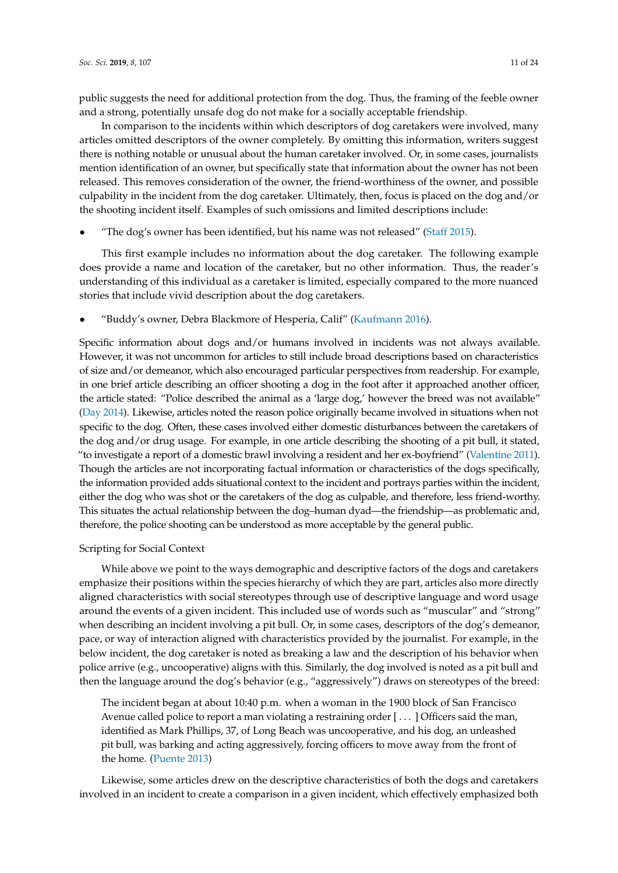public suggests the need for additional protection from the dog. Thus, the framing of the feeble owner and a strong, potentially unsafe dog do not make for a socially acceptable friendship.

In comparison to the incidents within which descriptors of dog caretakers were involved, many articles omitted descriptors of the owner completely. By omitting this information, writers suggest there is nothing notable or unusual about the human caretaker involved. Or, in some cases, journalists mention identification of an owner, but specifically state that information about the owner has not been released. This removes consideration of the owner, the friend-worthiness of the owner, and possible culpability in the incident from the dog caretaker. Ultimately, then, focus is placed on the dog and/or the shooting incident itself. Examples of such omissions and limited descriptions include:

• "The dog's owner has been identified, but his name was not released" [\(Staff](#page-23-16) [2015\)](#page-23-16).

This first example includes no information about the dog caretaker. The following example does provide a name and location of the caretaker, but no other information. Thus, the reader's understanding of this individual as a caretaker is limited, especially compared to the more nuanced stories that include vivid description about the dog caretakers.

• "Buddy's owner, Debra Blackmore of Hesperia, Calif" [\(Kaufmann](#page-22-25) [2016\)](#page-22-25).

Specific information about dogs and/or humans involved in incidents was not always available. However, it was not uncommon for articles to still include broad descriptions based on characteristics of size and/or demeanor, which also encouraged particular perspectives from readership. For example, in one brief article describing an officer shooting a dog in the foot after it approached another officer, the article stated: "Police described the animal as a 'large dog,' however the breed was not available" [\(Day](#page-21-11) [2014\)](#page-21-11). Likewise, articles noted the reason police originally became involved in situations when not specific to the dog. Often, these cases involved either domestic disturbances between the caretakers of the dog and/or drug usage. For example, in one article describing the shooting of a pit bull, it stated, "to investigate a report of a domestic brawl involving a resident and her ex-boyfriend" [\(Valentine](#page-23-12) [2011\)](#page-23-12). Though the articles are not incorporating factual information or characteristics of the dogs specifically, the information provided adds situational context to the incident and portrays parties within the incident, either the dog who was shot or the caretakers of the dog as culpable, and therefore, less friend-worthy. This situates the actual relationship between the dog–human dyad—the friendship—as problematic and, therefore, the police shooting can be understood as more acceptable by the general public.

#### Scripting for Social Context

While above we point to the ways demographic and descriptive factors of the dogs and caretakers emphasize their positions within the species hierarchy of which they are part, articles also more directly aligned characteristics with social stereotypes through use of descriptive language and word usage around the events of a given incident. This included use of words such as "muscular" and "strong" when describing an incident involving a pit bull. Or, in some cases, descriptors of the dog's demeanor, pace, or way of interaction aligned with characteristics provided by the journalist. For example, in the below incident, the dog caretaker is noted as breaking a law and the description of his behavior when police arrive (e.g., uncooperative) aligns with this. Similarly, the dog involved is noted as a pit bull and then the language around the dog's behavior (e.g., "aggressively") draws on stereotypes of the breed:

The incident began at about 10:40 p.m. when a woman in the 1900 block of San Francisco Avenue called police to report a man violating a restraining order [ . . . ] Officers said the man, identified as Mark Phillips, 37, of Long Beach was uncooperative, and his dog, an unleashed pit bull, was barking and acting aggressively, forcing officers to move away from the front of the home. [\(Puente](#page-23-17) [2013\)](#page-23-17)

Likewise, some articles drew on the descriptive characteristics of both the dogs and caretakers involved in an incident to create a comparison in a given incident, which effectively emphasized both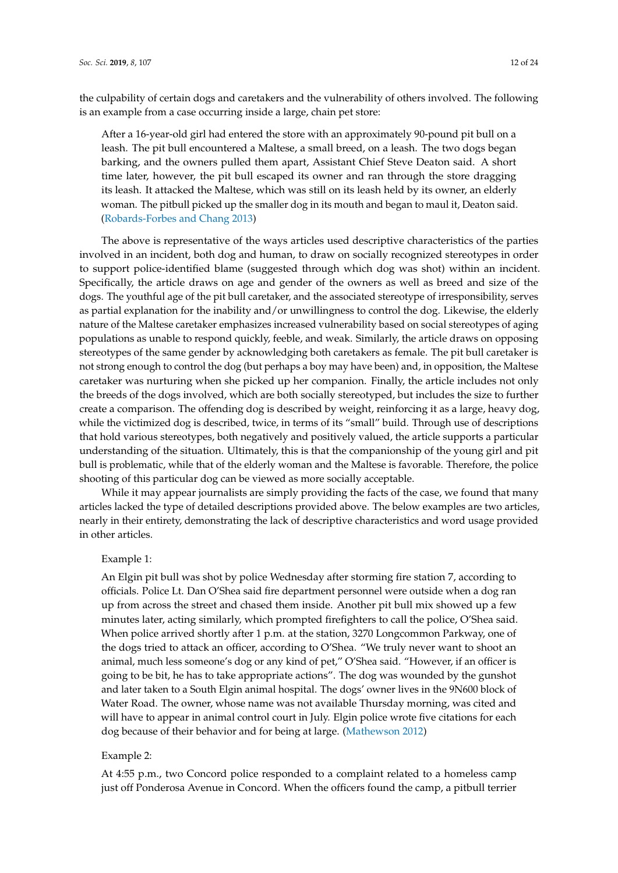the culpability of certain dogs and caretakers and the vulnerability of others involved. The following is an example from a case occurring inside a large, chain pet store:

After a 16-year-old girl had entered the store with an approximately 90-pound pit bull on a leash. The pit bull encountered a Maltese, a small breed, on a leash. The two dogs began barking, and the owners pulled them apart, Assistant Chief Steve Deaton said. A short time later, however, the pit bull escaped its owner and ran through the store dragging its leash. It attacked the Maltese, which was still on its leash held by its owner, an elderly woman. The pitbull picked up the smaller dog in its mouth and began to maul it, Deaton said. [\(Robards-Forbes and Chang](#page-23-18) [2013\)](#page-23-18)

The above is representative of the ways articles used descriptive characteristics of the parties involved in an incident, both dog and human, to draw on socially recognized stereotypes in order to support police-identified blame (suggested through which dog was shot) within an incident. Specifically, the article draws on age and gender of the owners as well as breed and size of the dogs. The youthful age of the pit bull caretaker, and the associated stereotype of irresponsibility, serves as partial explanation for the inability and/or unwillingness to control the dog. Likewise, the elderly nature of the Maltese caretaker emphasizes increased vulnerability based on social stereotypes of aging populations as unable to respond quickly, feeble, and weak. Similarly, the article draws on opposing stereotypes of the same gender by acknowledging both caretakers as female. The pit bull caretaker is not strong enough to control the dog (but perhaps a boy may have been) and, in opposition, the Maltese caretaker was nurturing when she picked up her companion. Finally, the article includes not only the breeds of the dogs involved, which are both socially stereotyped, but includes the size to further create a comparison. The offending dog is described by weight, reinforcing it as a large, heavy dog, while the victimized dog is described, twice, in terms of its "small" build. Through use of descriptions that hold various stereotypes, both negatively and positively valued, the article supports a particular understanding of the situation. Ultimately, this is that the companionship of the young girl and pit bull is problematic, while that of the elderly woman and the Maltese is favorable. Therefore, the police shooting of this particular dog can be viewed as more socially acceptable.

While it may appear journalists are simply providing the facts of the case, we found that many articles lacked the type of detailed descriptions provided above. The below examples are two articles, nearly in their entirety, demonstrating the lack of descriptive characteristics and word usage provided in other articles.

# Example 1:

An Elgin pit bull was shot by police Wednesday after storming fire station 7, according to officials. Police Lt. Dan O'Shea said fire department personnel were outside when a dog ran up from across the street and chased them inside. Another pit bull mix showed up a few minutes later, acting similarly, which prompted firefighters to call the police, O'Shea said. When police arrived shortly after 1 p.m. at the station, 3270 Longcommon Parkway, one of the dogs tried to attack an officer, according to O'Shea. "We truly never want to shoot an animal, much less someone's dog or any kind of pet," O'Shea said. "However, if an officer is going to be bit, he has to take appropriate actions". The dog was wounded by the gunshot and later taken to a South Elgin animal hospital. The dogs' owner lives in the 9N600 block of Water Road. The owner, whose name was not available Thursday morning, was cited and will have to appear in animal control court in July. Elgin police wrote five citations for each dog because of their behavior and for being at large. [\(Mathewson](#page-23-19) [2012\)](#page-23-19)

## Example 2:

At 4:55 p.m., two Concord police responded to a complaint related to a homeless camp just off Ponderosa Avenue in Concord. When the officers found the camp, a pitbull terrier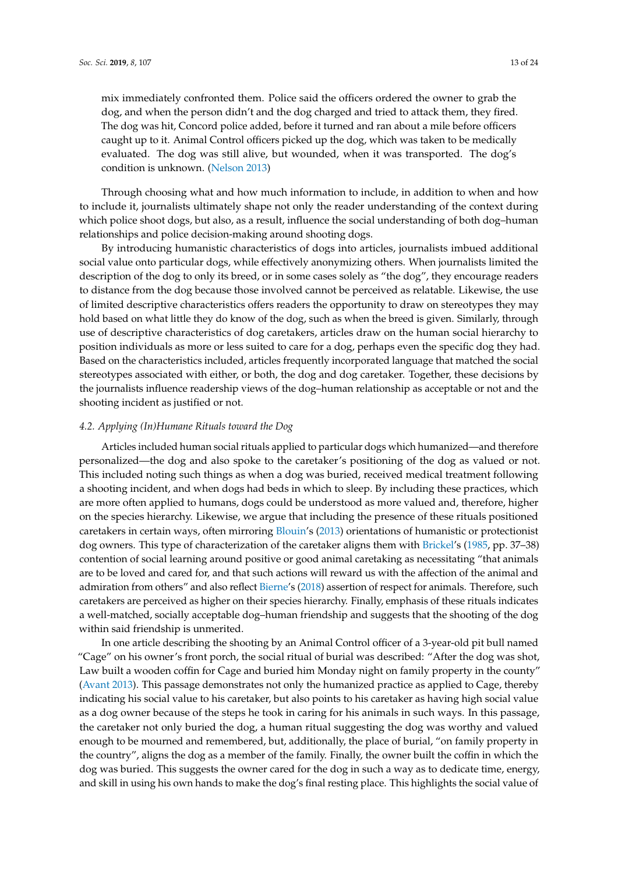mix immediately confronted them. Police said the officers ordered the owner to grab the dog, and when the person didn't and the dog charged and tried to attack them, they fired. The dog was hit, Concord police added, before it turned and ran about a mile before officers caught up to it. Animal Control officers picked up the dog, which was taken to be medically evaluated. The dog was still alive, but wounded, when it was transported. The dog's condition is unknown. [\(Nelson](#page-23-20) [2013\)](#page-23-20)

Through choosing what and how much information to include, in addition to when and how to include it, journalists ultimately shape not only the reader understanding of the context during which police shoot dogs, but also, as a result, influence the social understanding of both dog–human relationships and police decision-making around shooting dogs.

By introducing humanistic characteristics of dogs into articles, journalists imbued additional social value onto particular dogs, while effectively anonymizing others. When journalists limited the description of the dog to only its breed, or in some cases solely as "the dog", they encourage readers to distance from the dog because those involved cannot be perceived as relatable. Likewise, the use of limited descriptive characteristics offers readers the opportunity to draw on stereotypes they may hold based on what little they do know of the dog, such as when the breed is given. Similarly, through use of descriptive characteristics of dog caretakers, articles draw on the human social hierarchy to position individuals as more or less suited to care for a dog, perhaps even the specific dog they had. Based on the characteristics included, articles frequently incorporated language that matched the social stereotypes associated with either, or both, the dog and dog caretaker. Together, these decisions by the journalists influence readership views of the dog–human relationship as acceptable or not and the shooting incident as justified or not.

#### *4.2. Applying (In)Humane Rituals toward the Dog*

Articles included human social rituals applied to particular dogs which humanized—and therefore personalized—the dog and also spoke to the caretaker's positioning of the dog as valued or not. This included noting such things as when a dog was buried, received medical treatment following a shooting incident, and when dogs had beds in which to sleep. By including these practices, which are more often applied to humans, dogs could be understood as more valued and, therefore, higher on the species hierarchy. Likewise, we argue that including the presence of these rituals positioned caretakers in certain ways, often mirroring [Blouin'](#page-21-4)s [\(2013\)](#page-21-4) orientations of humanistic or protectionist dog owners. This type of characterization of the caretaker aligns them with [Brickel'](#page-21-3)s [\(1985,](#page-21-3) pp. 37–38) contention of social learning around positive or good animal caretaking as necessitating "that animals are to be loved and cared for, and that such actions will reward us with the affection of the animal and admiration from others" and also reflect [Bierne'](#page-21-1)s [\(2018\)](#page-21-1) assertion of respect for animals. Therefore, such caretakers are perceived as higher on their species hierarchy. Finally, emphasis of these rituals indicates a well-matched, socially acceptable dog–human friendship and suggests that the shooting of the dog within said friendship is unmerited.

In one article describing the shooting by an Animal Control officer of a 3-year-old pit bull named "Cage" on his owner's front porch, the social ritual of burial was described: "After the dog was shot, Law built a wooden coffin for Cage and buried him Monday night on family property in the county" [\(Avant](#page-21-12) [2013\)](#page-21-12). This passage demonstrates not only the humanized practice as applied to Cage, thereby indicating his social value to his caretaker, but also points to his caretaker as having high social value as a dog owner because of the steps he took in caring for his animals in such ways. In this passage, the caretaker not only buried the dog, a human ritual suggesting the dog was worthy and valued enough to be mourned and remembered, but, additionally, the place of burial, "on family property in the country", aligns the dog as a member of the family. Finally, the owner built the coffin in which the dog was buried. This suggests the owner cared for the dog in such a way as to dedicate time, energy, and skill in using his own hands to make the dog's final resting place. This highlights the social value of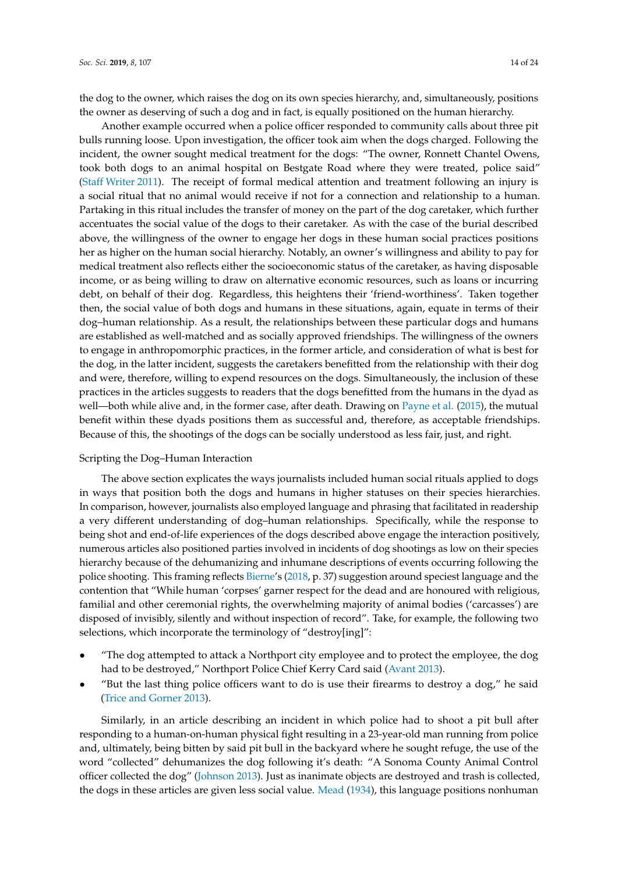the dog to the owner, which raises the dog on its own species hierarchy, and, simultaneously, positions the owner as deserving of such a dog and in fact, is equally positioned on the human hierarchy.

Another example occurred when a police officer responded to community calls about three pit bulls running loose. Upon investigation, the officer took aim when the dogs charged. Following the incident, the owner sought medical treatment for the dogs: "The owner, Ronnett Chantel Owens, took both dogs to an animal hospital on Bestgate Road where they were treated, police said" [\(Staff Writer](#page-23-21) [2011\)](#page-23-21). The receipt of formal medical attention and treatment following an injury is a social ritual that no animal would receive if not for a connection and relationship to a human. Partaking in this ritual includes the transfer of money on the part of the dog caretaker, which further accentuates the social value of the dogs to their caretaker. As with the case of the burial described above, the willingness of the owner to engage her dogs in these human social practices positions her as higher on the human social hierarchy. Notably, an owner's willingness and ability to pay for medical treatment also reflects either the socioeconomic status of the caretaker, as having disposable income, or as being willing to draw on alternative economic resources, such as loans or incurring debt, on behalf of their dog. Regardless, this heightens their 'friend-worthiness'. Taken together then, the social value of both dogs and humans in these situations, again, equate in terms of their dog–human relationship. As a result, the relationships between these particular dogs and humans are established as well-matched and as socially approved friendships. The willingness of the owners to engage in anthropomorphic practices, in the former article, and consideration of what is best for the dog, in the latter incident, suggests the caretakers benefitted from the relationship with their dog and were, therefore, willing to expend resources on the dogs. Simultaneously, the inclusion of these practices in the articles suggests to readers that the dogs benefitted from the humans in the dyad as well—both while alive and, in the former case, after death. Drawing on [Payne et al.](#page-23-8) [\(2015\)](#page-23-8), the mutual benefit within these dyads positions them as successful and, therefore, as acceptable friendships. Because of this, the shootings of the dogs can be socially understood as less fair, just, and right.

# Scripting the Dog–Human Interaction

The above section explicates the ways journalists included human social rituals applied to dogs in ways that position both the dogs and humans in higher statuses on their species hierarchies. In comparison, however, journalists also employed language and phrasing that facilitated in readership a very different understanding of dog–human relationships. Specifically, while the response to being shot and end-of-life experiences of the dogs described above engage the interaction positively, numerous articles also positioned parties involved in incidents of dog shootings as low on their species hierarchy because of the dehumanizing and inhumane descriptions of events occurring following the police shooting. This framing reflects [Bierne'](#page-21-1)s [\(2018,](#page-21-1) p. 37) suggestion around speciest language and the contention that "While human 'corpses' garner respect for the dead and are honoured with religious, familial and other ceremonial rights, the overwhelming majority of animal bodies ('carcasses') are disposed of invisibly, silently and without inspection of record". Take, for example, the following two selections, which incorporate the terminology of "destroy[ing]":

- "The dog attempted to attack a Northport city employee and to protect the employee, the dog had to be destroyed," Northport Police Chief Kerry Card said [\(Avant](#page-21-12) [2013\)](#page-21-12).
- "But the last thing police officers want to do is use their firearms to destroy a dog," he said [\(Trice and Gorner](#page-23-22) [2013\)](#page-23-22).

Similarly, in an article describing an incident in which police had to shoot a pit bull after responding to a human-on-human physical fight resulting in a 23-year-old man running from police and, ultimately, being bitten by said pit bull in the backyard where he sought refuge, the use of the word "collected" dehumanizes the dog following it's death: "A Sonoma County Animal Control officer collected the dog" [\(Johnson](#page-22-26) [2013\)](#page-22-26). Just as inanimate objects are destroyed and trash is collected, the dogs in these articles are given less social value. [Mead](#page-23-7) [\(1934\)](#page-23-7), this language positions nonhuman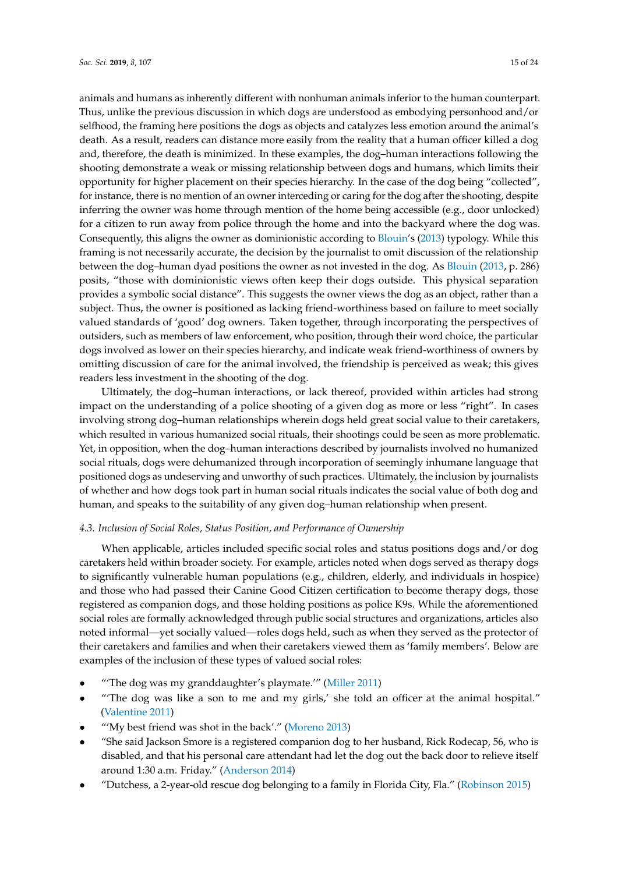animals and humans as inherently different with nonhuman animals inferior to the human counterpart. Thus, unlike the previous discussion in which dogs are understood as embodying personhood and/or selfhood, the framing here positions the dogs as objects and catalyzes less emotion around the animal's death. As a result, readers can distance more easily from the reality that a human officer killed a dog and, therefore, the death is minimized. In these examples, the dog–human interactions following the shooting demonstrate a weak or missing relationship between dogs and humans, which limits their opportunity for higher placement on their species hierarchy. In the case of the dog being "collected", for instance, there is no mention of an owner interceding or caring for the dog after the shooting, despite inferring the owner was home through mention of the home being accessible (e.g., door unlocked) for a citizen to run away from police through the home and into the backyard where the dog was. Consequently, this aligns the owner as dominionistic according to [Blouin'](#page-21-4)s [\(2013\)](#page-21-4) typology. While this framing is not necessarily accurate, the decision by the journalist to omit discussion of the relationship between the dog–human dyad positions the owner as not invested in the dog. As [Blouin](#page-21-4) [\(2013,](#page-21-4) p. 286) posits, "those with dominionistic views often keep their dogs outside. This physical separation provides a symbolic social distance". This suggests the owner views the dog as an object, rather than a subject. Thus, the owner is positioned as lacking friend-worthiness based on failure to meet socially valued standards of 'good' dog owners. Taken together, through incorporating the perspectives of outsiders, such as members of law enforcement, who position, through their word choice, the particular dogs involved as lower on their species hierarchy, and indicate weak friend-worthiness of owners by omitting discussion of care for the animal involved, the friendship is perceived as weak; this gives readers less investment in the shooting of the dog.

Ultimately, the dog–human interactions, or lack thereof, provided within articles had strong impact on the understanding of a police shooting of a given dog as more or less "right". In cases involving strong dog–human relationships wherein dogs held great social value to their caretakers, which resulted in various humanized social rituals, their shootings could be seen as more problematic. Yet, in opposition, when the dog–human interactions described by journalists involved no humanized social rituals, dogs were dehumanized through incorporation of seemingly inhumane language that positioned dogs as undeserving and unworthy of such practices. Ultimately, the inclusion by journalists of whether and how dogs took part in human social rituals indicates the social value of both dog and human, and speaks to the suitability of any given dog–human relationship when present.

# *4.3. Inclusion of Social Roles, Status Position, and Performance of Ownership*

When applicable, articles included specific social roles and status positions dogs and/or dog caretakers held within broader society. For example, articles noted when dogs served as therapy dogs to significantly vulnerable human populations (e.g., children, elderly, and individuals in hospice) and those who had passed their Canine Good Citizen certification to become therapy dogs, those registered as companion dogs, and those holding positions as police K9s. While the aforementioned social roles are formally acknowledged through public social structures and organizations, articles also noted informal—yet socially valued—roles dogs held, such as when they served as the protector of their caretakers and families and when their caretakers viewed them as 'family members'. Below are examples of the inclusion of these types of valued social roles:

- "'The dog was my granddaughter's playmate.'" [\(Miller](#page-23-23) [2011\)](#page-23-23)
- "'The dog was like a son to me and my girls,' she told an officer at the animal hospital." [\(Valentine](#page-23-12) [2011\)](#page-23-12)
- "'My best friend was shot in the back'." [\(Moreno](#page-23-24) [2013\)](#page-23-24)
- "She said Jackson Smore is a registered companion dog to her husband, Rick Rodecap, 56, who is disabled, and that his personal care attendant had let the dog out the back door to relieve itself around 1:30 a.m. Friday." [\(Anderson](#page-21-8) [2014\)](#page-21-8)
- "Dutchess, a 2-year-old rescue dog belonging to a family in Florida City, Fla." [\(Robinson](#page-23-25) [2015\)](#page-23-25)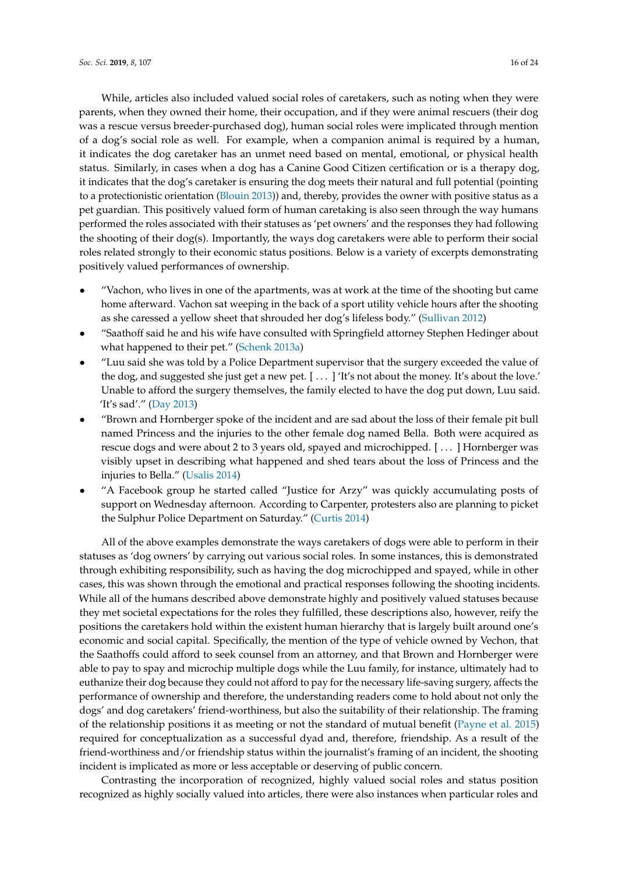While, articles also included valued social roles of caretakers, such as noting when they were parents, when they owned their home, their occupation, and if they were animal rescuers (their dog was a rescue versus breeder-purchased dog), human social roles were implicated through mention of a dog's social role as well. For example, when a companion animal is required by a human, it indicates the dog caretaker has an unmet need based on mental, emotional, or physical health status. Similarly, in cases when a dog has a Canine Good Citizen certification or is a therapy dog, it indicates that the dog's caretaker is ensuring the dog meets their natural and full potential (pointing to a protectionistic orientation [\(Blouin](#page-21-4) [2013\)](#page-21-4)) and, thereby, provides the owner with positive status as a pet guardian. This positively valued form of human caretaking is also seen through the way humans performed the roles associated with their statuses as 'pet owners' and the responses they had following the shooting of their dog(s). Importantly, the ways dog caretakers were able to perform their social roles related strongly to their economic status positions. Below is a variety of excerpts demonstrating positively valued performances of ownership.

- "Vachon, who lives in one of the apartments, was at work at the time of the shooting but came home afterward. Vachon sat weeping in the back of a sport utility vehicle hours after the shooting as she caressed a yellow sheet that shrouded her dog's lifeless body." [\(Sullivan](#page-23-26) [2012\)](#page-23-26)
- "Saathoff said he and his wife have consulted with Springfield attorney Stephen Hedinger about what happened to their pet." [\(Schenk](#page-23-27) [2013a\)](#page-23-27)
- "Luu said she was told by a Police Department supervisor that the surgery exceeded the value of the dog, and suggested she just get a new pet. [ . . . ] 'It's not about the money. It's about the love.' Unable to afford the surgery themselves, the family elected to have the dog put down, Luu said. 'It's sad'." [\(Day](#page-21-13) [2013\)](#page-21-13)
- "Brown and Hornberger spoke of the incident and are sad about the loss of their female pit bull named Princess and the injuries to the other female dog named Bella. Both were acquired as rescue dogs and were about 2 to 3 years old, spayed and microchipped. [ . . . ] Hornberger was visibly upset in describing what happened and shed tears about the loss of Princess and the injuries to Bella." [\(Usalis](#page-23-28) [2014\)](#page-23-28)
- "A Facebook group he started called "Justice for Arzy" was quickly accumulating posts of support on Wednesday afternoon. According to Carpenter, protesters also are planning to picket the Sulphur Police Department on Saturday." [\(Curtis](#page-21-10) [2014\)](#page-21-10)

All of the above examples demonstrate the ways caretakers of dogs were able to perform in their statuses as 'dog owners' by carrying out various social roles. In some instances, this is demonstrated through exhibiting responsibility, such as having the dog microchipped and spayed, while in other cases, this was shown through the emotional and practical responses following the shooting incidents. While all of the humans described above demonstrate highly and positively valued statuses because they met societal expectations for the roles they fulfilled, these descriptions also, however, reify the positions the caretakers hold within the existent human hierarchy that is largely built around one's economic and social capital. Specifically, the mention of the type of vehicle owned by Vechon, that the Saathoffs could afford to seek counsel from an attorney, and that Brown and Hornberger were able to pay to spay and microchip multiple dogs while the Luu family, for instance, ultimately had to euthanize their dog because they could not afford to pay for the necessary life-saving surgery, affects the performance of ownership and therefore, the understanding readers come to hold about not only the dogs' and dog caretakers' friend-worthiness, but also the suitability of their relationship. The framing of the relationship positions it as meeting or not the standard of mutual benefit [\(Payne et al.](#page-23-8) [2015\)](#page-23-8) required for conceptualization as a successful dyad and, therefore, friendship. As a result of the friend-worthiness and/or friendship status within the journalist's framing of an incident, the shooting incident is implicated as more or less acceptable or deserving of public concern.

Contrasting the incorporation of recognized, highly valued social roles and status position recognized as highly socially valued into articles, there were also instances when particular roles and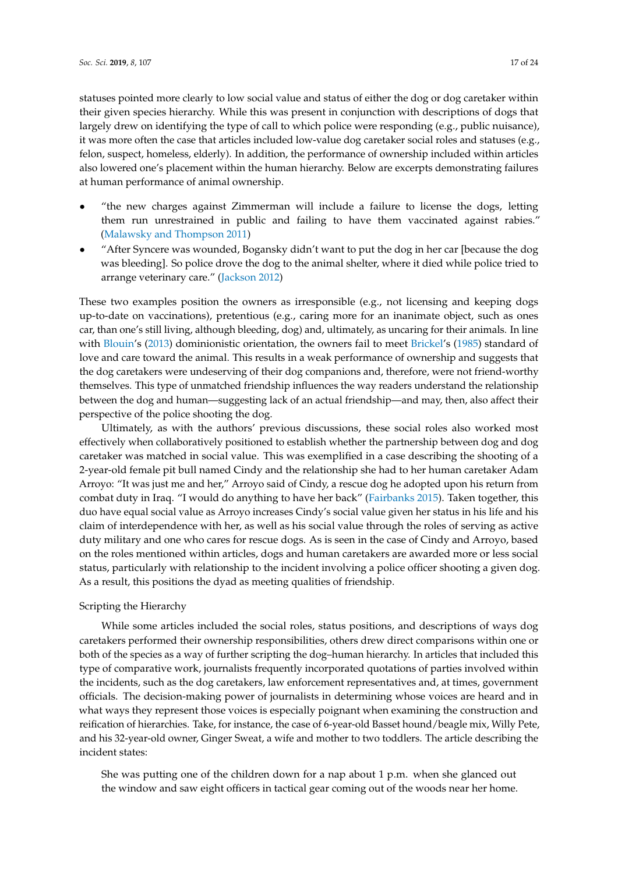statuses pointed more clearly to low social value and status of either the dog or dog caretaker within their given species hierarchy. While this was present in conjunction with descriptions of dogs that largely drew on identifying the type of call to which police were responding (e.g., public nuisance), it was more often the case that articles included low-value dog caretaker social roles and statuses (e.g., felon, suspect, homeless, elderly). In addition, the performance of ownership included within articles also lowered one's placement within the human hierarchy. Below are excerpts demonstrating failures at human performance of animal ownership.

- "the new charges against Zimmerman will include a failure to license the dogs, letting them run unrestrained in public and failing to have them vaccinated against rabies." [\(Malawsky and Thompson](#page-23-29) [2011\)](#page-23-29)
- "After Syncere was wounded, Bogansky didn't want to put the dog in her car [because the dog was bleeding]. So police drove the dog to the animal shelter, where it died while police tried to arrange veterinary care." [\(Jackson](#page-22-27) [2012\)](#page-22-27)

These two examples position the owners as irresponsible (e.g., not licensing and keeping dogs up-to-date on vaccinations), pretentious (e.g., caring more for an inanimate object, such as ones car, than one's still living, although bleeding, dog) and, ultimately, as uncaring for their animals. In line with [Blouin'](#page-21-4)s [\(2013\)](#page-21-4) dominionistic orientation, the owners fail to meet [Brickel'](#page-21-3)s [\(1985\)](#page-21-3) standard of love and care toward the animal. This results in a weak performance of ownership and suggests that the dog caretakers were undeserving of their dog companions and, therefore, were not friend-worthy themselves. This type of unmatched friendship influences the way readers understand the relationship between the dog and human—suggesting lack of an actual friendship—and may, then, also affect their perspective of the police shooting the dog.

Ultimately, as with the authors' previous discussions, these social roles also worked most effectively when collaboratively positioned to establish whether the partnership between dog and dog caretaker was matched in social value. This was exemplified in a case describing the shooting of a 2-year-old female pit bull named Cindy and the relationship she had to her human caretaker Adam Arroyo: "It was just me and her," Arroyo said of Cindy, a rescue dog he adopted upon his return from combat duty in Iraq. "I would do anything to have her back" [\(Fairbanks](#page-22-28) [2015\)](#page-22-28). Taken together, this duo have equal social value as Arroyo increases Cindy's social value given her status in his life and his claim of interdependence with her, as well as his social value through the roles of serving as active duty military and one who cares for rescue dogs. As is seen in the case of Cindy and Arroyo, based on the roles mentioned within articles, dogs and human caretakers are awarded more or less social status, particularly with relationship to the incident involving a police officer shooting a given dog. As a result, this positions the dyad as meeting qualities of friendship.

#### Scripting the Hierarchy

While some articles included the social roles, status positions, and descriptions of ways dog caretakers performed their ownership responsibilities, others drew direct comparisons within one or both of the species as a way of further scripting the dog–human hierarchy. In articles that included this type of comparative work, journalists frequently incorporated quotations of parties involved within the incidents, such as the dog caretakers, law enforcement representatives and, at times, government officials. The decision-making power of journalists in determining whose voices are heard and in what ways they represent those voices is especially poignant when examining the construction and reification of hierarchies. Take, for instance, the case of 6-year-old Basset hound/beagle mix, Willy Pete, and his 32-year-old owner, Ginger Sweat, a wife and mother to two toddlers. The article describing the incident states:

She was putting one of the children down for a nap about 1 p.m. when she glanced out the window and saw eight officers in tactical gear coming out of the woods near her home.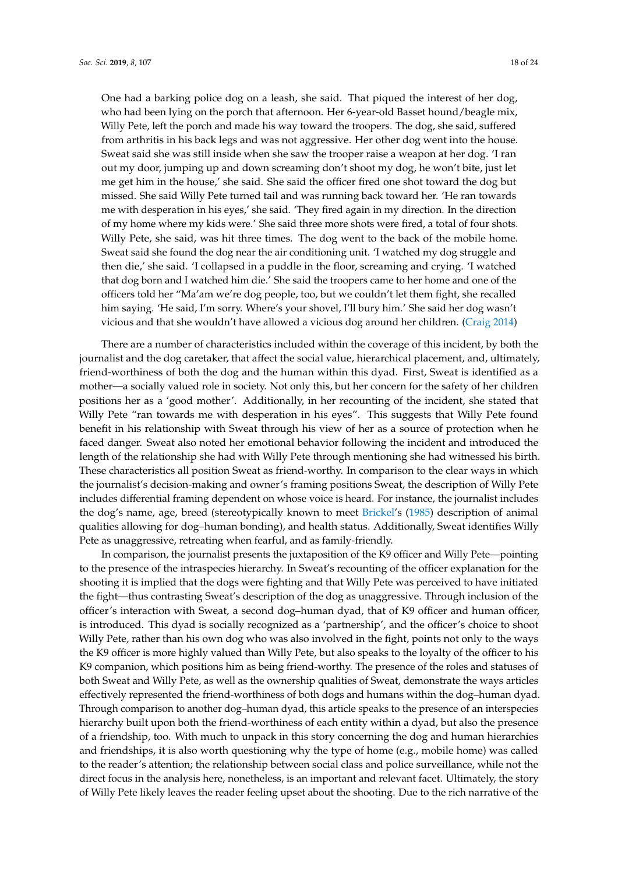One had a barking police dog on a leash, she said. That piqued the interest of her dog, who had been lying on the porch that afternoon. Her 6-year-old Basset hound/beagle mix, Willy Pete, left the porch and made his way toward the troopers. The dog, she said, suffered from arthritis in his back legs and was not aggressive. Her other dog went into the house. Sweat said she was still inside when she saw the trooper raise a weapon at her dog. 'I ran out my door, jumping up and down screaming don't shoot my dog, he won't bite, just let me get him in the house,' she said. She said the officer fired one shot toward the dog but missed. She said Willy Pete turned tail and was running back toward her. 'He ran towards me with desperation in his eyes,' she said. 'They fired again in my direction. In the direction of my home where my kids were.' She said three more shots were fired, a total of four shots. Willy Pete, she said, was hit three times. The dog went to the back of the mobile home. Sweat said she found the dog near the air conditioning unit. 'I watched my dog struggle and then die,' she said. 'I collapsed in a puddle in the floor, screaming and crying. 'I watched that dog born and I watched him die.' She said the troopers came to her home and one of the officers told her "Ma'am we're dog people, too, but we couldn't let them fight, she recalled him saying. 'He said, I'm sorry. Where's your shovel, I'll bury him.' She said her dog wasn't vicious and that she wouldn't have allowed a vicious dog around her children. [\(Craig](#page-21-9) [2014\)](#page-21-9)

There are a number of characteristics included within the coverage of this incident, by both the journalist and the dog caretaker, that affect the social value, hierarchical placement, and, ultimately, friend-worthiness of both the dog and the human within this dyad. First, Sweat is identified as a mother—a socially valued role in society. Not only this, but her concern for the safety of her children positions her as a 'good mother'. Additionally, in her recounting of the incident, she stated that Willy Pete "ran towards me with desperation in his eyes". This suggests that Willy Pete found benefit in his relationship with Sweat through his view of her as a source of protection when he faced danger. Sweat also noted her emotional behavior following the incident and introduced the length of the relationship she had with Willy Pete through mentioning she had witnessed his birth. These characteristics all position Sweat as friend-worthy. In comparison to the clear ways in which the journalist's decision-making and owner's framing positions Sweat, the description of Willy Pete includes differential framing dependent on whose voice is heard. For instance, the journalist includes the dog's name, age, breed (stereotypically known to meet [Brickel'](#page-21-3)s [\(1985\)](#page-21-3) description of animal qualities allowing for dog–human bonding), and health status. Additionally, Sweat identifies Willy Pete as unaggressive, retreating when fearful, and as family-friendly.

In comparison, the journalist presents the juxtaposition of the K9 officer and Willy Pete—pointing to the presence of the intraspecies hierarchy. In Sweat's recounting of the officer explanation for the shooting it is implied that the dogs were fighting and that Willy Pete was perceived to have initiated the fight—thus contrasting Sweat's description of the dog as unaggressive. Through inclusion of the officer's interaction with Sweat, a second dog–human dyad, that of K9 officer and human officer, is introduced. This dyad is socially recognized as a 'partnership', and the officer's choice to shoot Willy Pete, rather than his own dog who was also involved in the fight, points not only to the ways the K9 officer is more highly valued than Willy Pete, but also speaks to the loyalty of the officer to his K9 companion, which positions him as being friend-worthy. The presence of the roles and statuses of both Sweat and Willy Pete, as well as the ownership qualities of Sweat, demonstrate the ways articles effectively represented the friend-worthiness of both dogs and humans within the dog–human dyad. Through comparison to another dog–human dyad, this article speaks to the presence of an interspecies hierarchy built upon both the friend-worthiness of each entity within a dyad, but also the presence of a friendship, too. With much to unpack in this story concerning the dog and human hierarchies and friendships, it is also worth questioning why the type of home (e.g., mobile home) was called to the reader's attention; the relationship between social class and police surveillance, while not the direct focus in the analysis here, nonetheless, is an important and relevant facet. Ultimately, the story of Willy Pete likely leaves the reader feeling upset about the shooting. Due to the rich narrative of the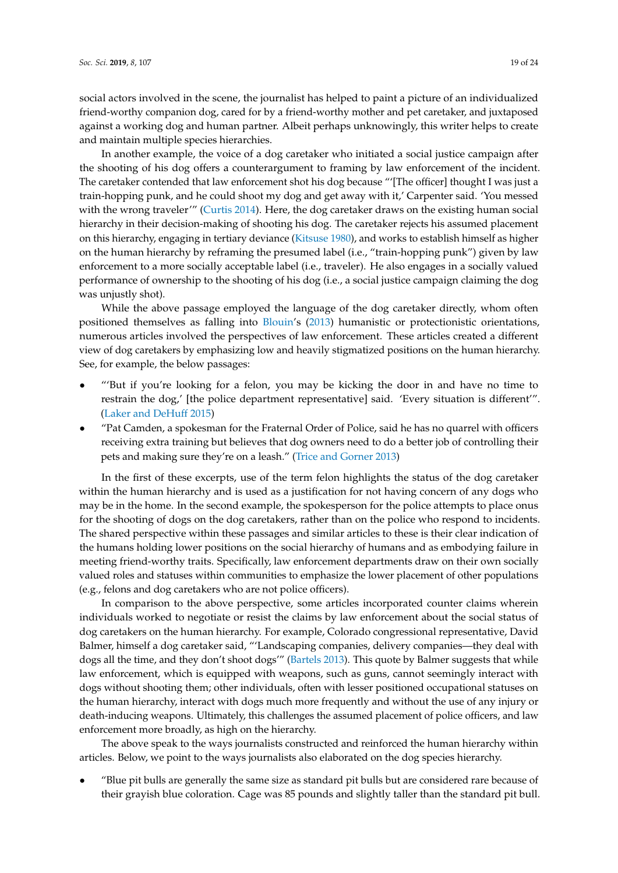social actors involved in the scene, the journalist has helped to paint a picture of an individualized friend-worthy companion dog, cared for by a friend-worthy mother and pet caretaker, and juxtaposed against a working dog and human partner. Albeit perhaps unknowingly, this writer helps to create and maintain multiple species hierarchies.

In another example, the voice of a dog caretaker who initiated a social justice campaign after the shooting of his dog offers a counterargument to framing by law enforcement of the incident. The caretaker contended that law enforcement shot his dog because "'[The officer] thought I was just a train-hopping punk, and he could shoot my dog and get away with it,' Carpenter said. 'You messed with the wrong traveler'" [\(Curtis](#page-21-10) [2014\)](#page-21-10). Here, the dog caretaker draws on the existing human social hierarchy in their decision-making of shooting his dog. The caretaker rejects his assumed placement on this hierarchy, engaging in tertiary deviance [\(Kitsuse](#page-22-29) [1980\)](#page-22-29), and works to establish himself as higher on the human hierarchy by reframing the presumed label (i.e., "train-hopping punk") given by law enforcement to a more socially acceptable label (i.e., traveler). He also engages in a socially valued performance of ownership to the shooting of his dog (i.e., a social justice campaign claiming the dog was unjustly shot).

While the above passage employed the language of the dog caretaker directly, whom often positioned themselves as falling into [Blouin'](#page-21-4)s [\(2013\)](#page-21-4) humanistic or protectionistic orientations, numerous articles involved the perspectives of law enforcement. These articles created a different view of dog caretakers by emphasizing low and heavily stigmatized positions on the human hierarchy. See, for example, the below passages:

- "'But if you're looking for a felon, you may be kicking the door in and have no time to restrain the dog,' [the police department representative] said. 'Every situation is different'". [\(Laker and DeHuff](#page-22-30) [2015\)](#page-22-30)
- "Pat Camden, a spokesman for the Fraternal Order of Police, said he has no quarrel with officers receiving extra training but believes that dog owners need to do a better job of controlling their pets and making sure they're on a leash." [\(Trice and Gorner](#page-23-22) [2013\)](#page-23-22)

In the first of these excerpts, use of the term felon highlights the status of the dog caretaker within the human hierarchy and is used as a justification for not having concern of any dogs who may be in the home. In the second example, the spokesperson for the police attempts to place onus for the shooting of dogs on the dog caretakers, rather than on the police who respond to incidents. The shared perspective within these passages and similar articles to these is their clear indication of the humans holding lower positions on the social hierarchy of humans and as embodying failure in meeting friend-worthy traits. Specifically, law enforcement departments draw on their own socially valued roles and statuses within communities to emphasize the lower placement of other populations (e.g., felons and dog caretakers who are not police officers).

In comparison to the above perspective, some articles incorporated counter claims wherein individuals worked to negotiate or resist the claims by law enforcement about the social status of dog caretakers on the human hierarchy. For example, Colorado congressional representative, David Balmer, himself a dog caretaker said, "'Landscaping companies, delivery companies—they deal with dogs all the time, and they don't shoot dogs'" [\(Bartels](#page-21-14) [2013\)](#page-21-14). This quote by Balmer suggests that while law enforcement, which is equipped with weapons, such as guns, cannot seemingly interact with dogs without shooting them; other individuals, often with lesser positioned occupational statuses on the human hierarchy, interact with dogs much more frequently and without the use of any injury or death-inducing weapons. Ultimately, this challenges the assumed placement of police officers, and law enforcement more broadly, as high on the hierarchy.

The above speak to the ways journalists constructed and reinforced the human hierarchy within articles. Below, we point to the ways journalists also elaborated on the dog species hierarchy.

• "Blue pit bulls are generally the same size as standard pit bulls but are considered rare because of their grayish blue coloration. Cage was 85 pounds and slightly taller than the standard pit bull.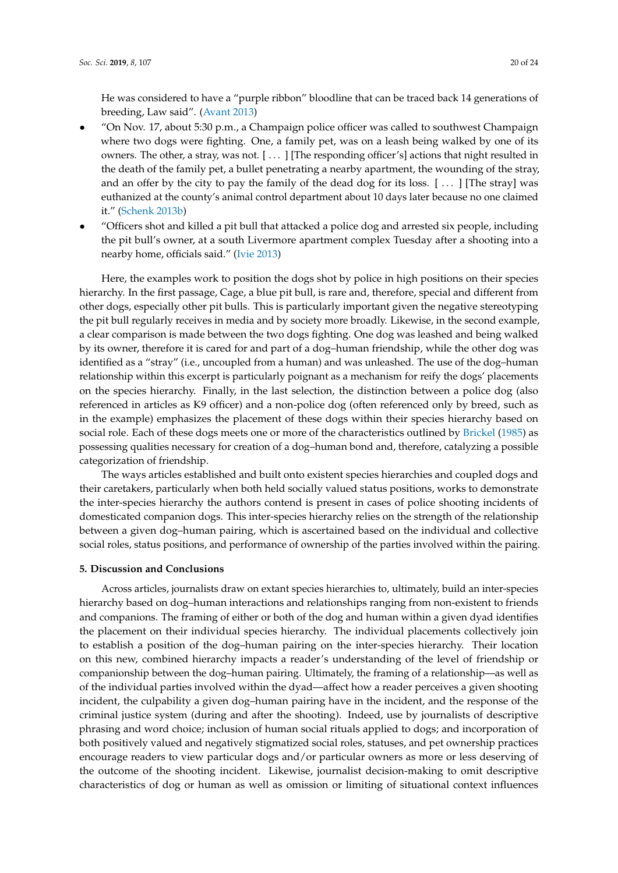He was considered to have a "purple ribbon" bloodline that can be traced back 14 generations of breeding, Law said". [\(Avant](#page-21-12) [2013\)](#page-21-12)

- "On Nov. 17, about 5:30 p.m., a Champaign police officer was called to southwest Champaign where two dogs were fighting. One, a family pet, was on a leash being walked by one of its owners. The other, a stray, was not. [ . . . ] [The responding officer's] actions that night resulted in the death of the family pet, a bullet penetrating a nearby apartment, the wounding of the stray, and an offer by the city to pay the family of the dead dog for its loss. [ . . . ] [The stray] was euthanized at the county's animal control department about 10 days later because no one claimed it." [\(Schenk](#page-23-30) [2013b\)](#page-23-30)
- "Officers shot and killed a pit bull that attacked a police dog and arrested six people, including the pit bull's owner, at a south Livermore apartment complex Tuesday after a shooting into a nearby home, officials said." [\(Ivie](#page-22-31) [2013\)](#page-22-31)

Here, the examples work to position the dogs shot by police in high positions on their species hierarchy. In the first passage, Cage, a blue pit bull, is rare and, therefore, special and different from other dogs, especially other pit bulls. This is particularly important given the negative stereotyping the pit bull regularly receives in media and by society more broadly. Likewise, in the second example, a clear comparison is made between the two dogs fighting. One dog was leashed and being walked by its owner, therefore it is cared for and part of a dog–human friendship, while the other dog was identified as a "stray" (i.e., uncoupled from a human) and was unleashed. The use of the dog–human relationship within this excerpt is particularly poignant as a mechanism for reify the dogs' placements on the species hierarchy. Finally, in the last selection, the distinction between a police dog (also referenced in articles as K9 officer) and a non-police dog (often referenced only by breed, such as in the example) emphasizes the placement of these dogs within their species hierarchy based on social role. Each of these dogs meets one or more of the characteristics outlined by [Brickel](#page-21-3) [\(1985\)](#page-21-3) as possessing qualities necessary for creation of a dog–human bond and, therefore, catalyzing a possible categorization of friendship.

The ways articles established and built onto existent species hierarchies and coupled dogs and their caretakers, particularly when both held socially valued status positions, works to demonstrate the inter-species hierarchy the authors contend is present in cases of police shooting incidents of domesticated companion dogs. This inter-species hierarchy relies on the strength of the relationship between a given dog–human pairing, which is ascertained based on the individual and collective social roles, status positions, and performance of ownership of the parties involved within the pairing.

## **5. Discussion and Conclusions**

Across articles, journalists draw on extant species hierarchies to, ultimately, build an inter-species hierarchy based on dog–human interactions and relationships ranging from non-existent to friends and companions. The framing of either or both of the dog and human within a given dyad identifies the placement on their individual species hierarchy. The individual placements collectively join to establish a position of the dog–human pairing on the inter-species hierarchy. Their location on this new, combined hierarchy impacts a reader's understanding of the level of friendship or companionship between the dog–human pairing. Ultimately, the framing of a relationship—as well as of the individual parties involved within the dyad—affect how a reader perceives a given shooting incident, the culpability a given dog–human pairing have in the incident, and the response of the criminal justice system (during and after the shooting). Indeed, use by journalists of descriptive phrasing and word choice; inclusion of human social rituals applied to dogs; and incorporation of both positively valued and negatively stigmatized social roles, statuses, and pet ownership practices encourage readers to view particular dogs and/or particular owners as more or less deserving of the outcome of the shooting incident. Likewise, journalist decision-making to omit descriptive characteristics of dog or human as well as omission or limiting of situational context influences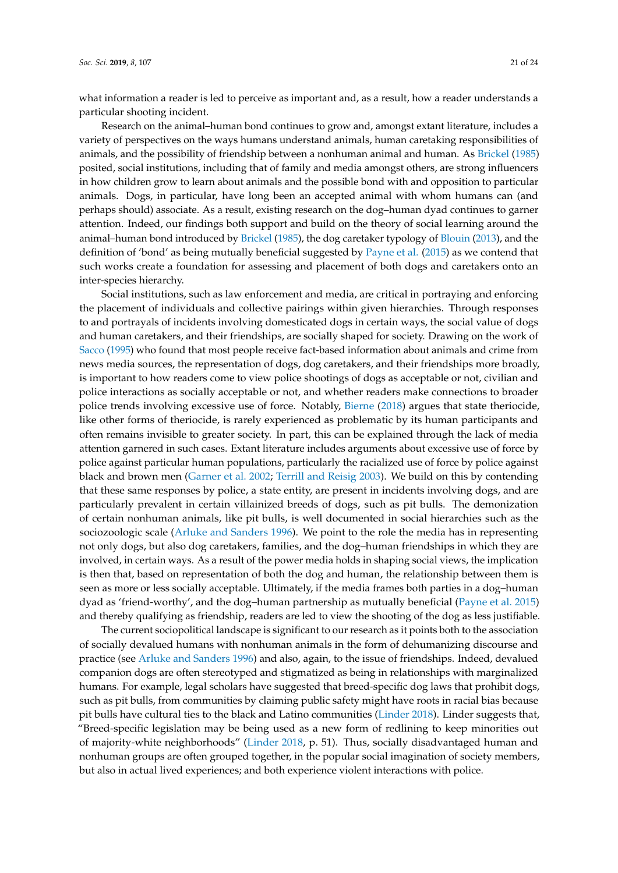what information a reader is led to perceive as important and, as a result, how a reader understands a particular shooting incident.

Research on the animal–human bond continues to grow and, amongst extant literature, includes a variety of perspectives on the ways humans understand animals, human caretaking responsibilities of animals, and the possibility of friendship between a nonhuman animal and human. As [Brickel](#page-21-3) [\(1985\)](#page-21-3) posited, social institutions, including that of family and media amongst others, are strong influencers in how children grow to learn about animals and the possible bond with and opposition to particular animals. Dogs, in particular, have long been an accepted animal with whom humans can (and perhaps should) associate. As a result, existing research on the dog–human dyad continues to garner attention. Indeed, our findings both support and build on the theory of social learning around the animal–human bond introduced by [Brickel](#page-21-3) [\(1985\)](#page-21-3), the dog caretaker typology of [Blouin](#page-21-4) [\(2013\)](#page-21-4), and the definition of 'bond' as being mutually beneficial suggested by [Payne et al.](#page-23-8) [\(2015\)](#page-23-8) as we contend that such works create a foundation for assessing and placement of both dogs and caretakers onto an inter-species hierarchy.

Social institutions, such as law enforcement and media, are critical in portraying and enforcing the placement of individuals and collective pairings within given hierarchies. Through responses to and portrayals of incidents involving domesticated dogs in certain ways, the social value of dogs and human caretakers, and their friendships, are socially shaped for society. Drawing on the work of [Sacco](#page-23-3) [\(1995\)](#page-23-3) who found that most people receive fact-based information about animals and crime from news media sources, the representation of dogs, dog caretakers, and their friendships more broadly, is important to how readers come to view police shootings of dogs as acceptable or not, civilian and police interactions as socially acceptable or not, and whether readers make connections to broader police trends involving excessive use of force. Notably, [Bierne](#page-21-1) [\(2018\)](#page-21-1) argues that state theriocide, like other forms of theriocide, is rarely experienced as problematic by its human participants and often remains invisible to greater society. In part, this can be explained through the lack of media attention garnered in such cases. Extant literature includes arguments about excessive use of force by police against particular human populations, particularly the racialized use of force by police against black and brown men [\(Garner et al.](#page-22-8) [2002;](#page-22-8) [Terrill and Reisig](#page-23-5) [2003\)](#page-23-5). We build on this by contending that these same responses by police, a state entity, are present in incidents involving dogs, and are particularly prevalent in certain villainized breeds of dogs, such as pit bulls. The demonization of certain nonhuman animals, like pit bulls, is well documented in social hierarchies such as the sociozoologic scale [\(Arluke and Sanders](#page-21-2) [1996\)](#page-21-2). We point to the role the media has in representing not only dogs, but also dog caretakers, families, and the dog–human friendships in which they are involved, in certain ways. As a result of the power media holds in shaping social views, the implication is then that, based on representation of both the dog and human, the relationship between them is seen as more or less socially acceptable. Ultimately, if the media frames both parties in a dog–human dyad as 'friend-worthy', and the dog–human partnership as mutually beneficial [\(Payne et al.](#page-23-8) [2015\)](#page-23-8) and thereby qualifying as friendship, readers are led to view the shooting of the dog as less justifiable.

The current sociopolitical landscape is significant to our research as it points both to the association of socially devalued humans with nonhuman animals in the form of dehumanizing discourse and practice (see [Arluke and Sanders](#page-21-2) [1996\)](#page-21-2) and also, again, to the issue of friendships. Indeed, devalued companion dogs are often stereotyped and stigmatized as being in relationships with marginalized humans. For example, legal scholars have suggested that breed-specific dog laws that prohibit dogs, such as pit bulls, from communities by claiming public safety might have roots in racial bias because pit bulls have cultural ties to the black and Latino communities [\(Linder](#page-23-31) [2018\)](#page-23-31). Linder suggests that, "Breed-specific legislation may be being used as a new form of redlining to keep minorities out of majority-white neighborhoods" [\(Linder](#page-23-31) [2018,](#page-23-31) p. 51). Thus, socially disadvantaged human and nonhuman groups are often grouped together, in the popular social imagination of society members, but also in actual lived experiences; and both experience violent interactions with police.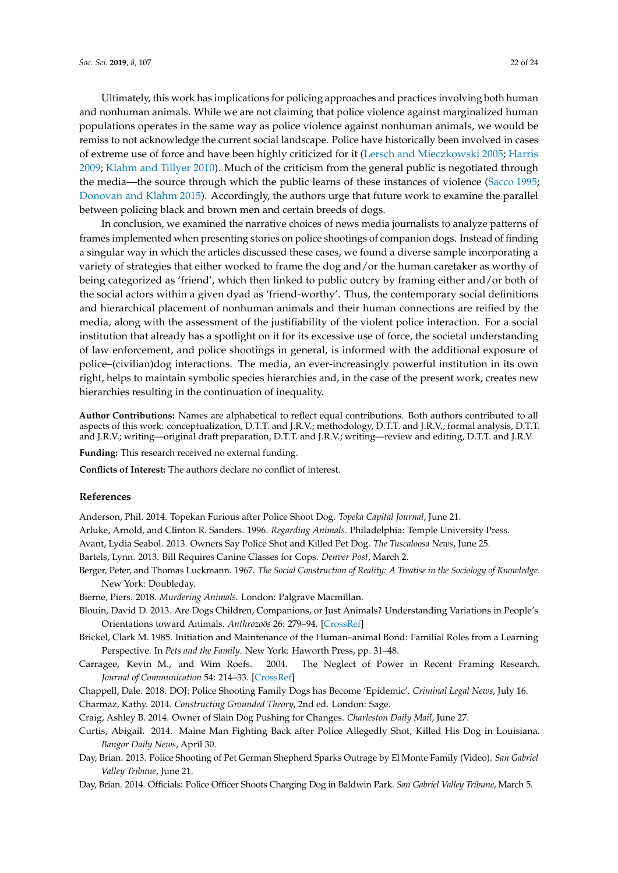Ultimately, this work has implications for policing approaches and practices involving both human and nonhuman animals. While we are not claiming that police violence against marginalized human populations operates in the same way as police violence against nonhuman animals, we would be remiss to not acknowledge the current social landscape. Police have historically been involved in cases of extreme use of force and have been highly criticized for it [\(Lersch and Mieczkowski](#page-22-3) [2005;](#page-22-3) [Harris](#page-22-4) [2009;](#page-22-4) [Klahm and Tillyer](#page-22-5) [2010\)](#page-22-5). Much of the criticism from the general public is negotiated through the media—the source through which the public learns of these instances of violence [\(Sacco](#page-23-3) [1995;](#page-23-3) [Donovan and Klahm](#page-22-7) [2015\)](#page-22-7). Accordingly, the authors urge that future work to examine the parallel between policing black and brown men and certain breeds of dogs.

In conclusion, we examined the narrative choices of news media journalists to analyze patterns of frames implemented when presenting stories on police shootings of companion dogs. Instead of finding a singular way in which the articles discussed these cases, we found a diverse sample incorporating a variety of strategies that either worked to frame the dog and/or the human caretaker as worthy of being categorized as 'friend', which then linked to public outcry by framing either and/or both of the social actors within a given dyad as 'friend-worthy'. Thus, the contemporary social definitions and hierarchical placement of nonhuman animals and their human connections are reified by the media, along with the assessment of the justifiability of the violent police interaction. For a social institution that already has a spotlight on it for its excessive use of force, the societal understanding of law enforcement, and police shootings in general, is informed with the additional exposure of police–(civilian)dog interactions. The media, an ever-increasingly powerful institution in its own right, helps to maintain symbolic species hierarchies and, in the case of the present work, creates new hierarchies resulting in the continuation of inequality.

**Author Contributions:** Names are alphabetical to reflect equal contributions. Both authors contributed to all aspects of this work: conceptualization, D.T.T. and J.R.V.; methodology, D.T.T. and J.R.V.; formal analysis, D.T.T. and J.R.V.; writing—original draft preparation, D.T.T. and J.R.V.; writing—review and editing, D.T.T. and J.R.V.

**Funding:** This research received no external funding.

**Conflicts of Interest:** The authors declare no conflict of interest.

## **References**

<span id="page-21-8"></span>Anderson, Phil. 2014. Topekan Furious after Police Shoot Dog. *Topeka Capital Journal*, June 21.

<span id="page-21-2"></span>Arluke, Arnold, and Clinton R. Sanders. 1996. *Regarding Animals*. Philadelphia: Temple University Press.

<span id="page-21-12"></span>Avant, Lydia Seabol. 2013. Owners Say Police Shot and Killed Pet Dog. *The Tuscaloosa News*, June 25.

<span id="page-21-14"></span>Bartels, Lynn. 2013. Bill Requires Canine Classes for Cops. *Denver Post*, March 2.

- <span id="page-21-5"></span>Berger, Peter, and Thomas Luckmann. 1967. *The Social Construction of Reality: A Treatise in the Sociology of Knowledge*. New York: Doubleday.
- <span id="page-21-1"></span>Bierne, Piers. 2018. *Murdering Animals*. London: Palgrave Macmillan.
- <span id="page-21-4"></span>Blouin, David D. 2013. Are Dogs Children, Companions, or Just Animals? Understanding Variations in People's Orientations toward Animals. *Anthrozoös* 26: 279–94. [\[CrossRef\]](http://dx.doi.org/10.2752/175303713X13636846944402)
- <span id="page-21-3"></span>Brickel, Clark M. 1985. Initiation and Maintenance of the Human–animal Bond: Familial Roles from a Learning Perspective. In *Pets and the Family*. New York: Haworth Press, pp. 31–48.
- <span id="page-21-6"></span>Carragee, Kevin M., and Wim Roefs. 2004. The Neglect of Power in Recent Framing Research. *Journal of Communication* 54: 214–33. [\[CrossRef\]](http://dx.doi.org/10.1111/j.1460-2466.2004.tb02625.x)
- <span id="page-21-7"></span><span id="page-21-0"></span>Chappell, Dale. 2018. DOJ: Police Shooting Family Dogs has Become 'Epidemic'. *Criminal Legal News*, July 16. Charmaz, Kathy. 2014. *Constructing Grounded Theory*, 2nd ed. London: Sage.
- <span id="page-21-9"></span>Craig, Ashley B. 2014. Owner of Slain Dog Pushing for Changes. *Charleston Daily Mail*, June 27.
- <span id="page-21-10"></span>Curtis, Abigail. 2014. Maine Man Fighting Back after Police Allegedly Shot, Killed His Dog in Louisiana. *Bangor Daily News*, April 30.
- <span id="page-21-13"></span>Day, Brian. 2013. Police Shooting of Pet German Shepherd Sparks Outrage by El Monte Family (Video). *San Gabriel Valley Tribune*, June 21.
- <span id="page-21-11"></span>Day, Brian. 2014. Officials: Police Officer Shoots Charging Dog in Baldwin Park. *San Gabriel Valley Tribune*, March 5.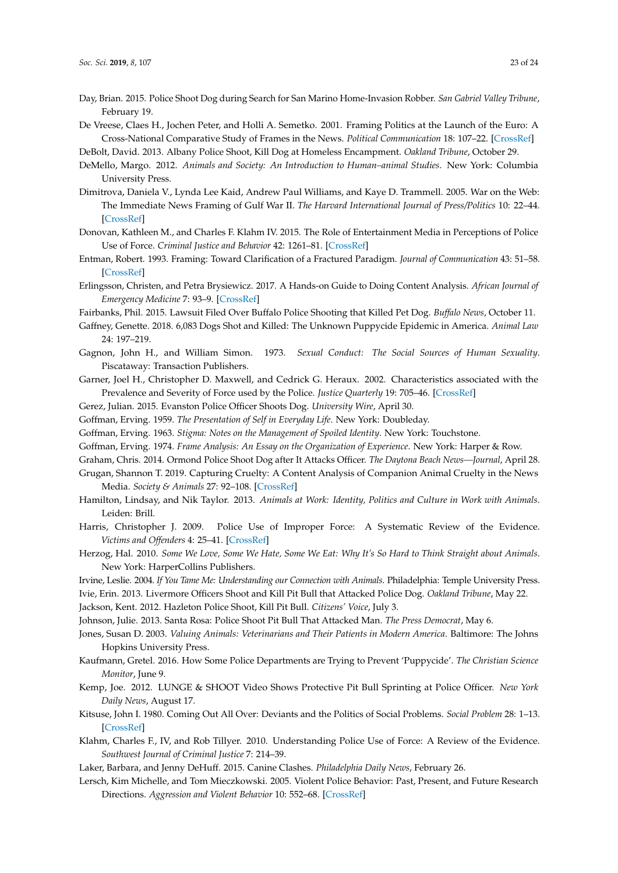- <span id="page-22-22"></span>Day, Brian. 2015. Police Shoot Dog during Search for San Marino Home-Invasion Robber. *San Gabriel Valley Tribune*, February 19.
- <span id="page-22-13"></span>De Vreese, Claes H., Jochen Peter, and Holli A. Semetko. 2001. Framing Politics at the Launch of the Euro: A Cross-National Comparative Study of Frames in the News. *Political Communication* 18: 107–22. [\[CrossRef\]](http://dx.doi.org/10.1080/105846001750322934)
- <span id="page-22-20"></span>DeBolt, David. 2013. Albany Police Shoot, Kill Dog at Homeless Encampment. *Oakland Tribune*, October 29.
- <span id="page-22-9"></span>DeMello, Margo. 2012. *Animals and Society: An Introduction to Human–animal Studies*. New York: Columbia University Press.
- <span id="page-22-14"></span>Dimitrova, Daniela V., Lynda Lee Kaid, Andrew Paul Williams, and Kaye D. Trammell. 2005. War on the Web: The Immediate News Framing of Gulf War II. *The Harvard International Journal of Press/Politics* 10: 22–44. [\[CrossRef\]](http://dx.doi.org/10.1177/1081180X05275595)
- <span id="page-22-7"></span>Donovan, Kathleen M., and Charles F. Klahm IV. 2015. The Role of Entertainment Media in Perceptions of Police Use of Force. *Criminal Justice and Behavior* 42: 1261–81. [\[CrossRef\]](http://dx.doi.org/10.1177/0093854815604180)
- <span id="page-22-18"></span>Entman, Robert. 1993. Framing: Toward Clarification of a Fractured Paradigm. *Journal of Communication* 43: 51–58. [\[CrossRef\]](http://dx.doi.org/10.1111/j.1460-2466.1993.tb01304.x)
- <span id="page-22-19"></span>Erlingsson, Christen, and Petra Brysiewicz. 2017. A Hands-on Guide to Doing Content Analysis. *African Journal of Emergency Medicine* 7: 93–9. [\[CrossRef\]](http://dx.doi.org/10.1016/j.afjem.2017.08.001)
- <span id="page-22-28"></span>Fairbanks, Phil. 2015. Lawsuit Filed Over Buffalo Police Shooting that Killed Pet Dog. *Buffalo News*, October 11.
- <span id="page-22-2"></span>Gaffney, Genette. 2018. 6,083 Dogs Shot and Killed: The Unknown Puppycide Epidemic in America. *Animal Law* 24: 197–219.
- <span id="page-22-16"></span>Gagnon, John H., and William Simon. 1973. *Sexual Conduct: The Social Sources of Human Sexuality*. Piscataway: Transaction Publishers.
- <span id="page-22-8"></span>Garner, Joel H., Christopher D. Maxwell, and Cedrick G. Heraux. 2002. Characteristics associated with the Prevalence and Severity of Force used by the Police. *Justice Quarterly* 19: 705–46. [\[CrossRef\]](http://dx.doi.org/10.1080/07418820200095401)
- <span id="page-22-23"></span><span id="page-22-15"></span>Gerez, Julian. 2015. Evanston Police Officer Shoots Dog. *University Wire*, April 30.
- Goffman, Erving. 1959. *The Presentation of Self in Everyday Life*. New York: Doubleday.
- <span id="page-22-12"></span>Goffman, Erving. 1963. *Stigma: Notes on the Management of Spoiled Identity*. New York: Touchstone.
- <span id="page-22-17"></span>Goffman, Erving. 1974. *Frame Analysis: An Essay on the Organization of Experience*. New York: Harper & Row.
- <span id="page-22-21"></span>Graham, Chris. 2014. Ormond Police Shoot Dog after It Attacks Officer. *The Daytona Beach News—Journal*, April 28.
- <span id="page-22-6"></span>Grugan, Shannon T. 2019. Capturing Cruelty: A Content Analysis of Companion Animal Cruelty in the News Media. *Society & Animals* 27: 92–108. [\[CrossRef\]](http://dx.doi.org/10.1163/15685306-12341530)
- <span id="page-22-11"></span>Hamilton, Lindsay, and Nik Taylor. 2013. *Animals at Work: Identity, Politics and Culture in Work with Animals*. Leiden: Brill.
- <span id="page-22-4"></span>Harris, Christopher J. 2009. Police Use of Improper Force: A Systematic Review of the Evidence. *Victims and Offenders* 4: 25–41. [\[CrossRef\]](http://dx.doi.org/10.1080/15564880701568470)
- <span id="page-22-10"></span>Herzog, Hal. 2010. *Some We Love, Some We Hate, Some We Eat: Why It's So Hard to Think Straight about Animals*. New York: HarperCollins Publishers.
- <span id="page-22-1"></span>Irvine, Leslie. 2004. *If You Tame Me: Understanding our Connection with Animals*. Philadelphia: Temple University Press.
- <span id="page-22-31"></span>Ivie, Erin. 2013. Livermore Officers Shoot and Kill Pit Bull that Attacked Police Dog. *Oakland Tribune*, May 22.

<span id="page-22-27"></span>Jackson, Kent. 2012. Hazleton Police Shoot, Kill Pit Bull. *Citizens' Voice*, July 3.

- <span id="page-22-26"></span>Johnson, Julie. 2013. Santa Rosa: Police Shoot Pit Bull That Attacked Man. *The Press Democrat*, May 6.
- <span id="page-22-0"></span>Jones, Susan D. 2003. *Valuing Animals: Veterinarians and Their Patients in Modern America*. Baltimore: The Johns Hopkins University Press.
- <span id="page-22-25"></span>Kaufmann, Gretel. 2016. How Some Police Departments are Trying to Prevent 'Puppycide'. *The Christian Science Monitor*, June 9.
- <span id="page-22-24"></span>Kemp, Joe. 2012. LUNGE & SHOOT Video Shows Protective Pit Bull Sprinting at Police Officer. *New York Daily News*, August 17.
- <span id="page-22-29"></span>Kitsuse, John I. 1980. Coming Out All Over: Deviants and the Politics of Social Problems. *Social Problem* 28: 1–13. [\[CrossRef\]](http://dx.doi.org/10.2307/800377)
- <span id="page-22-5"></span>Klahm, Charles F., IV, and Rob Tillyer. 2010. Understanding Police Use of Force: A Review of the Evidence. *Southwest Journal of Criminal Justice* 7: 214–39.
- <span id="page-22-30"></span>Laker, Barbara, and Jenny DeHuff. 2015. Canine Clashes. *Philadelphia Daily News*, February 26.
- <span id="page-22-3"></span>Lersch, Kim Michelle, and Tom Mieczkowski. 2005. Violent Police Behavior: Past, Present, and Future Research Directions. *Aggression and Violent Behavior* 10: 552–68. [\[CrossRef\]](http://dx.doi.org/10.1016/j.avb.2004.10.002)